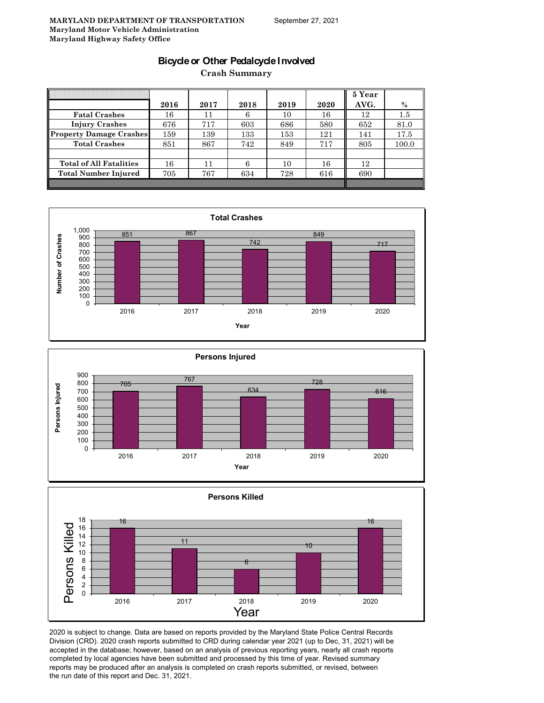### **Bicycle or Other Pedalcycle Involved**

**Crash Summary**

|                                |      |      |      |      |      | 5 Year | $\%$    |
|--------------------------------|------|------|------|------|------|--------|---------|
|                                | 2016 | 2017 | 2018 | 2019 | 2020 | AVG.   |         |
| <b>Fatal Crashes</b>           | 16   | 11   | 6    | 10   | 16   | 12     | $1.5\,$ |
| <b>Injury Crashes</b>          | 676  | 717  | 603  | 686  | 580  | 652    | 81.0    |
| Property Damage Crashes        | 159  | 139  | 133  | 153  | 121  | 141    | 17.5    |
| <b>Total Crashes</b>           | 851  | 867  | 742  | 849  | 717  | 805    | 100.0   |
|                                |      |      |      |      |      |        |         |
| <b>Total of All Fatalities</b> | 16   | 11   | б    | 10   | 16   | 12     |         |
| <b>Total Number Injured</b>    | 705  | 767  | 634  | 728  | 616  | 690    |         |
|                                |      |      |      |      |      |        |         |







2020 is subject to change. Data are based on reports provided by the Maryland State Police Central Records Division (CRD). 2020 crash reports submitted to CRD during calendar year 2021 (up to Dec, 31, 2021) will be accepted in the database; however, based on an analysis of previous reporting years, nearly all crash reports completed by local agencies have been submitted and processed by this time of year. Revised summary reports may be produced after an analysis is completed on crash reports submitted, or revised, between the run date of this report and Dec. 31, 2021.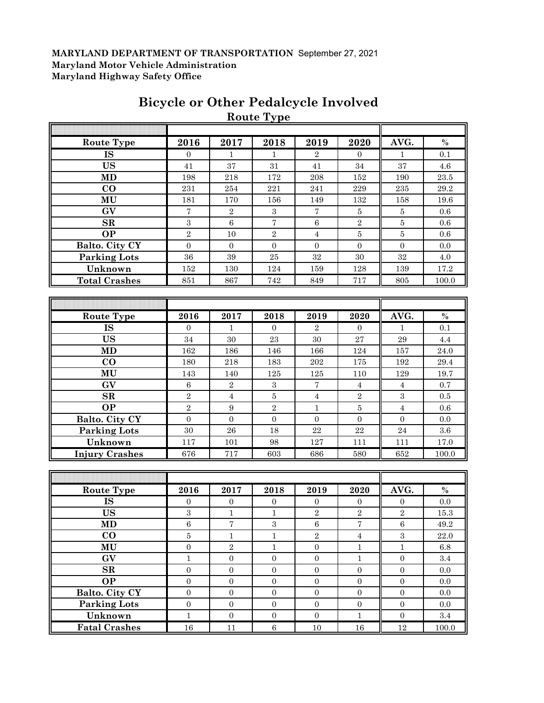|                       |                  |                  | <b>Route Type</b> |                   |                  |                  |                    |
|-----------------------|------------------|------------------|-------------------|-------------------|------------------|------------------|--------------------|
|                       |                  |                  |                   |                   |                  |                  |                    |
| <b>Route Type</b>     | 2016             | 2017             | 2018              | 2019              | 2020             | AVG.             | $\%$               |
| <b>IS</b>             | $\Omega$         | $\mathbf{1}$     | $\mathbf{1}$      | $\overline{2}$    | $\Omega$         | $\mathbf{1}$     | 0.1                |
| <b>US</b>             | 41               | 37               | 31                | 41                | 34               | 37               | 4.6                |
| MD                    | 198              | 218              | $172\,$           | 208               | 152              | 190              | 23.5               |
| CO                    | 231              | 254              | $\bf 221$         | 241               | 229              | 235              | 29.2               |
| MU                    | 181              | 170              | 156               | 149               | 132              | 158              | 19.6               |
| GV                    | $\sqrt{ }$       | $\sqrt{2}$       | $\,3$             | $\scriptstyle{7}$ | $\bf 5$          | $\bf 5$          | 0.6                |
| SR                    | 3                | $\,6\,$          | $\scriptstyle{7}$ | $\,6\,$           | $\sqrt{2}$       | $\bf 5$          | 0.6                |
| <b>OP</b>             | $\overline{2}$   | 10               | $\overline{2}$    | $\overline{4}$    | $\bf 5$          | $\bf 5$          | 0.6                |
| Balto. City CY        | $\mathbf{0}$     | $\mathbf{0}$     | $\boldsymbol{0}$  | $\mathbf{0}$      | $\mathbf{0}$     | $\boldsymbol{0}$ | 0.0                |
| <b>Parking Lots</b>   | 36               | 39               | $25\,$            | $32\,$            | 30               | $32\,$           | 4.0                |
| Unknown               | 152              | 130              | 124               | 159               | 128              | 139              | 17.2               |
| <b>Total Crashes</b>  | 851              | 867              | 742               | 849               | 717              | 805              | 100.0              |
|                       |                  |                  |                   |                   |                  |                  |                    |
|                       |                  |                  |                   |                   |                  |                  |                    |
| Route Type            | 2016             | 2017             | 2018              | 2019              | 2020             | AVG.             | $\%$               |
| <b>IS</b>             | $\mathbf{0}$     | $\mathbf{1}$     | $\boldsymbol{0}$  | $\overline{2}$    | $\overline{0}$   | $\mathbf{1}$     | 0.1                |
| <b>US</b>             | 34               | $30\,$           | 23                | $30\,$            | 27               | 29               | 4.4                |
| MD                    | 162              | 186              | 146               | 166               | 124              | 157              | $24.0\,$           |
| $\bf CO$              | 180              | $218\,$          | 183               | $\>202$           | 175              | 192              | $\hphantom{0}29.4$ |
| MU                    | 143              | 140              | 125               | 125               | 110              | 129              | 19.7               |
| GV                    | 6                | $\,2$            | $\boldsymbol{3}$  | 7                 | $\overline{4}$   | $\overline{4}$   | 0.7                |
| $\mathbf{SR}$         | $\sqrt{2}$       | $\overline{4}$   | $\bf 5$           | $\overline{4}$    | $\boldsymbol{2}$ | $\sqrt{3}$       | 0.5                |
| <b>OP</b>             | $\overline{2}$   | $\boldsymbol{9}$ | $\overline{2}$    | $\mathbf{1}$      | $\bf 5$          | $\overline{4}$   | 0.6                |
| Balto. City CY        | $\overline{0}$   | $\mathbf{0}$     | $\boldsymbol{0}$  | $\boldsymbol{0}$  | $\boldsymbol{0}$ | $\boldsymbol{0}$ | 0.0                |
| <b>Parking Lots</b>   | $30\,$           | 26               | 18                | 22                | $\bf 22$         | 24               | $3.6\,$            |
| Unknown               | 117              | 101              | 98                | 127               | 111              | 111              | 17.0               |
| <b>Injury Crashes</b> | 676              | 717              | 603               | 686               | 580              | 652              | 100.0              |
|                       |                  |                  |                   |                   |                  |                  |                    |
|                       |                  |                  |                   |                   |                  |                  |                    |
| <b>Route Type</b>     | 2016             | 2017             | 2018              | 2019              | 2020             | AVG.             | $\%$               |
| <b>IS</b>             | $\mathbf{0}$     | $\boldsymbol{0}$ | $\boldsymbol{0}$  | $\mathbf{0}$      | $\boldsymbol{0}$ | $\boldsymbol{0}$ | $0.0\,$            |
| <b>US</b>             | 3                | T                | $\perp$           | $\mathbf{z}$      | $\mathbf{z}$     | $\mathbf{z}$     | 15.3               |
| <b>MD</b>             | $\,6\,$          | $\sqrt{ }$       | $\,3$             | $\,6$             | $\overline{7}$   | $\,6\,$          | 49.2               |
| $\bf CO$              | $\bf 5$          | $\,1\,$          | $\,1\,$           | $\overline{2}$    | $\overline{4}$   | $\,3\,$          | $22.0\,$           |
| $\mathbf{MU}$         | $\boldsymbol{0}$ | $\overline{2}$   | $\mathbf{1}$      | $\boldsymbol{0}$  | $\mathbf{1}$     | $\mathbf{1}$     | $6.8\,$            |
| GV                    | $\mathbf 1$      | $\boldsymbol{0}$ | $\boldsymbol{0}$  | $\boldsymbol{0}$  | $\mathbf{1}$     | $\boldsymbol{0}$ | $3.4\,$            |
| $\mathbf{SR}$         | $\boldsymbol{0}$ | $\boldsymbol{0}$ | $\boldsymbol{0}$  | $\boldsymbol{0}$  | $\boldsymbol{0}$ | $\boldsymbol{0}$ | $0.0\,$            |
| <b>OP</b>             | $\boldsymbol{0}$ | $\boldsymbol{0}$ | $\boldsymbol{0}$  | $\boldsymbol{0}$  | $\boldsymbol{0}$ | $\boldsymbol{0}$ | $0.0\,$            |
| Balto. City CY        | $\boldsymbol{0}$ | $\boldsymbol{0}$ | $\boldsymbol{0}$  | $\boldsymbol{0}$  | $\boldsymbol{0}$ | $\boldsymbol{0}$ | $0.0\,$            |
| <b>Parking Lots</b>   | $\boldsymbol{0}$ | $\mathbf{0}$     | $\boldsymbol{0}$  | $\mathbf{0}$      | $\boldsymbol{0}$ | $\boldsymbol{0}$ | 0.0                |
| Unknown               | $\mathbf{1}$     | $\boldsymbol{0}$ | $\boldsymbol{0}$  | $\boldsymbol{0}$  | $\,1\,$          | $\mathbf{0}$     | $3.4\,$            |
| <b>Fatal Crashes</b>  | 16               | 11               | $\,6\,$           | 10                | 16               | $12\,$           | 100.0              |

**Fatal Crashes** 16 11 6 10 16 16 12 100.0

# **Bicycle or Other Pedalcycle Involved**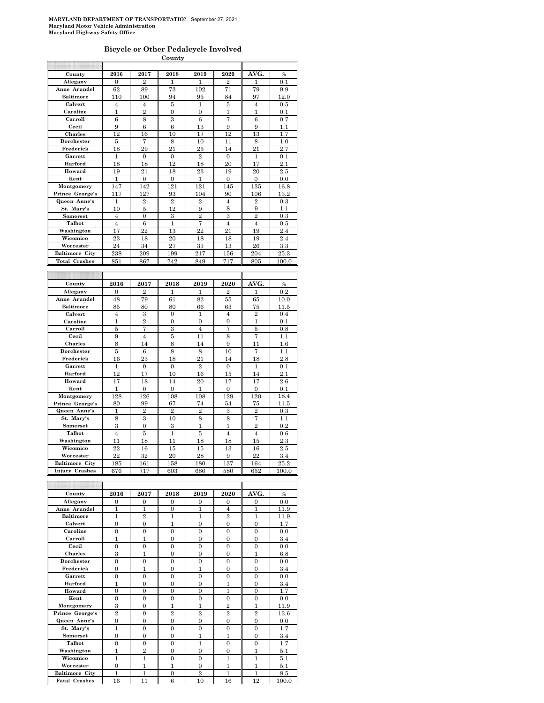#### **Bicycle or Other Pedalcycle Involved**

| County                |                |                  |                         |                |                  |                  |                   |
|-----------------------|----------------|------------------|-------------------------|----------------|------------------|------------------|-------------------|
|                       |                |                  |                         |                |                  |                  |                   |
| County                | 2016           | 2017             | 2018                    | 2019           | 2020             | AVG.             | $\%$              |
| Allegany              | $\mathbf{0}$   | $\overline{2}$   | 1                       | 1              | $\overline{2}$   | 1                | 0.1               |
| Anne Arundel          | 62             | 89               | 73                      | 102            | 71               | 79               | 9.9               |
| <b>Baltimore</b>      | 110            | 100              | 94                      | 95             | 84               | 97               | $\overline{12.0}$ |
| Calvert               | 4              | 4                | 5                       | 1              | 5                | 4                | 0.5               |
| Caroline              | $\mathbf{1}$   | $\overline{2}$   | $\overline{0}$          | $\overline{0}$ | $\mathbf{1}$     | $\overline{1}$   | 0.1               |
| Carroll               | 6              | 8                | 3                       | 6              | 7                | 6                | 0.7               |
| Cecil                 | 9              | 6                | 6                       | 13             | 9                | 9                | $1.1\,$           |
| Charles               | 12             | 16               | 10                      | 17             | 12               | 13               | 1.7               |
| Dorchester            | 5              | 7                | 8                       | 10             | 11               | 8                | 1.0               |
| Frederick             | 18             | 29               | 21                      | 25             | 14               | 21               | 2.7               |
| Garrett               | $\mathbf{1}$   | $\boldsymbol{0}$ | $\mathbf{0}$            | $\overline{2}$ | $\mathbf{0}$     | $\mathbf{1}$     | 0.1               |
| Harford               | 18             | 18               | 12                      | 18             | 20               | 17               | 2.1               |
| Howard                | 19             | 21               | 18                      | 23             | 19               | 20               | 2.5               |
| Kent                  | 1              | $\boldsymbol{0}$ | $\boldsymbol{0}$        | 1              | $\boldsymbol{0}$ | $\boldsymbol{0}$ | 0.0               |
| Montgomery            | 147            | 142              | 121                     | 121            | 145              | 135              | 16.8              |
| Prince George's       | 117            | 127              | 93                      | 104            | 90               | 106              | 13.2              |
| Queen Anne's          | 1              | $\overline{2}$   | $\overline{2}$          | $\overline{2}$ | 4                | $\overline{2}$   | 0.3               |
| St. Mary's            | 10             | 5                | 12                      | 9              | 8                | 9                | 1.1               |
| Somerset              | $\overline{4}$ | $\overline{0}$   | $\overline{\mathbf{3}}$ | $\overline{2}$ | 3                | $\overline{2}$   | 0.3               |
| Talbot                | $\overline{4}$ | 6                | $\mathbf{1}$            | 7              | $\overline{4}$   | $\overline{4}$   | 0.5               |
| Washington            | 17             | 22               | 13                      | 22             | 21               | 19               | 2.4               |
| Wicomico              | 23             | 18               | 20                      | 18             | 18               | 19               | 2.4               |
| Worcester             | 24             | 34               | 27                      | 33             | 13               | 26               | 3.3               |
| <b>Baltimore City</b> | 238            | 209              | 199                     | 217            | 156              | 204              | $^{25.3}$         |
| <b>Total Crashes</b>  | 851            | 867              | 742                     | 849            | 717              | 805              | 100.0             |
|                       |                |                  |                         |                |                  |                  |                   |
|                       |                |                  |                         |                |                  |                  |                   |
|                       |                |                  |                         |                |                  |                  |                   |
| County                | 2016           | 2017             | 2018                    | 2019           | 2020             | AVG.             | $\%$              |
| Allegany              | $\overline{0}$ | $\overline{2}$   | 1                       | 1              | $\overline{2}$   | 1                | 0.2               |
| Anne Arundel          | 48             | 79               | 61                      | 82             | 55               | 65               | 10.0              |
| <b>Baltimore</b>      | 85             | 80               | 80                      | 66             | 63               | 75               | 11.5              |
| Calvert               | $\overline{4}$ | 3                | $\overline{0}$          | 1              | $\overline{4}$   | $\overline{2}$   | 0.4               |
| Caroline              | 1              | $\overline{2}$   | $\overline{0}$          | $\overline{0}$ | $\overline{0}$   | 1                | 0.1               |
| Carroll               | 5              | 7                | 3                       | $\overline{4}$ | 7                | 5                | $_{0.8}$          |
| Cecil                 | 9              | $\overline{4}$   | 5                       | 11             | 8                | 7                | 1.1               |
| Charles               | 8              | 14               | 8                       | 14             | 9                | 11               | $1.6\,$           |
| Dorchester            | 5              | 6                | 8                       | 8              | 10               | 7                | 1.1               |
| Frederick             | 16             | 23               | 18                      | 21             | 14               | 18               | 2.8               |
| Garrett               | 1              | $\overline{0}$   | $\Omega$                | $\overline{2}$ | $\theta$         | 1                | 0.1               |
| Harford               | 12             | 17               | 10                      | 16             | 15               | 14               | 2.1               |
| Howard                | 17             | 18               | 14                      | 20             | 17               | 17               | 2.6               |
| Kent                  | 1              | $\overline{0}$   | $\overline{0}$          | 1              | $\overline{0}$   | $\overline{0}$   | 0.1               |
| Montgomery            | 128            | 126              | 108                     | 108            | 129              | 120              | 18.4              |
| Prince George's       | 80             | 99               | 67                      | 74             | 54               | 75               | 11.5              |
| Queen Anne's          | 1              | $\overline{2}$   | $\overline{2}$          | $\overline{2}$ | 3                | $\overline{2}$   | 0.3               |
| St. Mary's            | 8              | 3                | 10                      | 8              | 8                | 7                | 1.1               |
| Somerset              | 3              | $\overline{0}$   | 3                       | 1              | 1                | $\overline{2}$   | 0.2               |
| Talbot                | $\overline{4}$ | 5                | $\mathbf{1}$            | 5              | $\overline{4}$   | $\overline{4}$   | 0.6               |
| Washington            | 11             | 18               | 11                      | 18             | 18               | 15               | 2.3               |
| Wicomico              | 22             | 16               | 15                      | 15             | 13               | 16               | 2.5               |
| Worcester             | 22             | 32               | 20                      | 28             | 9                | 22               | 3.4               |
| <b>Baltimore City</b> | 185            | 161              | 158                     | 180            | 137              | 164              | 25.2              |
| Injury Crashes        | 676            | 717              | 603                     | 686            | 580              | 652              | 100.0             |

| County                | 2016           | 2017           | 2018           | 2019           | 2020           | AVG.           | $\%$  |
|-----------------------|----------------|----------------|----------------|----------------|----------------|----------------|-------|
| Allegany              | $\Omega$       | $\Omega$       | $\Omega$       | $\Omega$       | $\Omega$       | $\mathbf{0}$   | 0.0   |
| Anne Arundel          | $\mathbf{1}$   | 1              | $\theta$       | 1              | $\overline{4}$ | 1              | 11.9  |
| <b>Baltimore</b>      | 1              | $\overline{2}$ | 1              | 1              | $\overline{2}$ | 1              | 11.9  |
| Calvert               | $\theta$       | $\theta$       | 1              | $\theta$       | $\theta$       | $\theta$       | 1.7   |
| Caroline              | $\theta$       | $\Omega$       | $\Omega$       | $\Omega$       | $\theta$       | $\Omega$       | 0.0   |
| Carroll               | $\mathbf{1}$   | 1              | $\Omega$       | $\Omega$       | $\overline{0}$ | $\overline{0}$ | 3.4   |
| Cecil                 | $\overline{0}$ | $\theta$       | $\theta$       | $\theta$       | $\theta$       | $\overline{0}$ | 0.0   |
| <b>Charles</b>        | 3              | 1              | $\Omega$       | $\Omega$       | $\theta$       | 1              | 6.8   |
| Dorchester            | $\theta$       | $\Omega$       | $\Omega$       | $\Omega$       | $\Omega$       | $\Omega$       | 0.0   |
| Frederick             | $\Omega$       | 1              | $\Omega$       | 1              | $\theta$       | $\Omega$       | 3.4   |
| Garrett               | $\overline{0}$ | $\theta$       | $\Omega$       | $\Omega$       | $\overline{0}$ | $\overline{0}$ | 0.0   |
| Harford               | 1              | $\theta$       | $\theta$       | $\theta$       | 1              | $\theta$       | 3.4   |
| Howard                | $\overline{0}$ | $\theta$       | $\Omega$       | $\Omega$       | 1              | $\overline{0}$ | 1.7   |
| Kent                  | $\theta$       | $\Omega$       | $\Omega$       | $\Omega$       | $\theta$       | $\overline{0}$ | 0.0   |
| Montgomery            | 3              | $\Omega$       | 1              | 1              | $\overline{2}$ | 1              | 11.9  |
| Prince George's       | $\overline{2}$ | $\Omega$       | $\overline{2}$ | $\overline{2}$ | $\overline{2}$ | $\overline{2}$ | 13.6  |
| Queen Anne's          | $\overline{0}$ | $\Omega$       | $\theta$       | $\theta$       | $\theta$       | $\theta$       | 0.0   |
| St. Mary's            | $\mathbf{1}$   | $\Omega$       | $\Omega$       | $\Omega$       | $\overline{0}$ | $\overline{0}$ | 1.7   |
| Somerset              | $\theta$       | $\Omega$       | $\Omega$       | 1              | 1              | $\Omega$       | 3.4   |
| Talbot                | $\theta$       | $\Omega$       | $\Omega$       | 1              | $\Omega$       | $\theta$       | 1.7   |
| Washington            | 1              | $\overline{2}$ | $\Omega$       | $\Omega$       | $\Omega$       | 1              | 5.1   |
| Wicomico              | 1              | 1              | $\theta$       | $\theta$       | 1              | $\mathbf{1}$   | 5.1   |
| Worcester             | $\overline{0}$ | 1              | 1              | $\Omega$       | 1              | 1              | 5.1   |
| <b>Baltimore City</b> | 1              | 1              | $\theta$       | $\mathfrak{D}$ | 1              | 1              | 8.5   |
| <b>Fatal Crashes</b>  | 16             | 11             | 6              | 10             | 16             | 12             | 100.0 |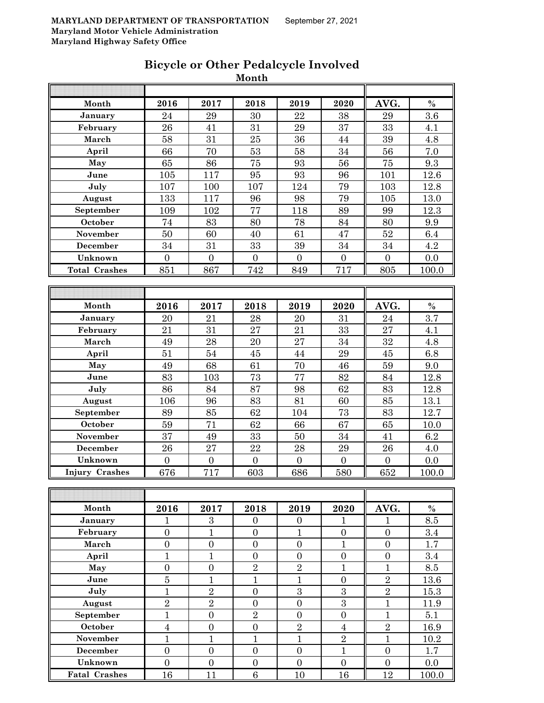|                       |                  |                  | wivilui                |                          |                       |                      |                  |
|-----------------------|------------------|------------------|------------------------|--------------------------|-----------------------|----------------------|------------------|
| Month                 | 2016             | 2017             | 2018                   | 2019                     | 2020                  | AVG.                 | $\%$             |
| January               | 24               | 29               | 30                     | 22                       | 38                    | 29                   | $\overline{3.6}$ |
| February              | 26               | 41               | 31                     | 29                       | 37                    | 33                   | 4.1              |
| March                 | 58               | 31               | $25\,$                 | 36                       | 44                    | 39                   | $4.8\,$          |
| April                 | 66               | 70               | $53\,$                 | 58                       | $34\,$                | 56                   | $7.0\,$          |
| May                   | 65               | 86               | 75                     | 93                       | 56                    | 75                   | 9.3              |
| June                  | 105              | 117              | 95                     | 93                       | 96                    | 101                  | 12.6             |
| July                  | 107              | 100              | 107                    | 124                      | 79                    | 103                  | 12.8             |
| August                | 133              | 117              | 96                     | 98                       | 79                    | 105                  | 13.0             |
| September             | 109              | 102              | 77                     | 118                      | 89                    | 99                   | 12.3             |
| October               | 74               | 83               | 80                     | 78                       | 84                    | 80                   | 9.9              |
| November              | 50               | 60               | 40                     | 61                       | 47                    | $52\,$               | 6.4              |
| December              | 34               | 31               | 33                     | 39                       | 34                    | $34\,$               | 4.2              |
| Unknown               | $\boldsymbol{0}$ | $\boldsymbol{0}$ | $\overline{0}$         | $\boldsymbol{0}$         | $\boldsymbol{0}$      | $\boldsymbol{0}$     | 0.0              |
| <b>Total Crashes</b>  | 851              | 867              | 742                    | 849                      | 717                   | 805                  | 100.0            |
|                       |                  |                  |                        |                          |                       |                      |                  |
|                       |                  |                  |                        |                          |                       |                      |                  |
| Month                 | 2016             | 2017             | 2018                   | 2019                     | 2020                  | AVG.                 | $\%$             |
| January               | 20               | 21               | 28                     | 20                       | 31                    | 24                   | $\overline{3.7}$ |
| February              | 21               | 31               | 27                     | 21                       | 33                    | 27                   | 4.1              |
| March                 | 49               | 28               | $20\,$                 | 27                       | 34                    | 32                   | 4.8              |
| April                 | 51               | $54\,$           | $\rm 45$               | 44                       | 29                    | 45                   | 6.8              |
| May                   | 49               | 68               | 61                     | 70                       | 46                    | 59                   | 9.0              |
| June                  | 83               | 103              | 73                     | 77                       | 82                    | 84                   | 12.8             |
| July                  | 86               | 84               | 87                     | 98                       | 62                    | 83                   | 12.8             |
| August                | 106              | 96               | 83                     | 81                       | 60                    | 85                   | 13.1             |
| September             | 89               | 85               | 62                     | 104                      | 73                    | 83                   | 12.7             |
| October               | 59               | 71               | 62                     | 66                       | 67                    | 65                   | 10.0             |
| November              | $\overline{37}$  | 49               | 33                     | $50\,$                   | 34                    | 41                   | $6.2\,$          |
| December              | ${\bf 26}$       | 27               | $\bf{22}$              | 28                       | 29                    | ${\bf 26}$           | 4.0              |
| Unknown               | $\boldsymbol{0}$ | $\overline{0}$   | $\overline{0}$         | $\boldsymbol{0}$         | $\boldsymbol{0}$      | $\boldsymbol{0}$     | 0.0              |
| <b>Injury Crashes</b> | 676              | 717              | 603                    | 686                      | 580                   | 652                  | 100.0            |
|                       |                  |                  |                        |                          |                       |                      |                  |
| Month                 |                  | 2017             |                        |                          |                       |                      |                  |
| January               | 2016<br>1        | $\boldsymbol{3}$ | 2018<br>$\overline{0}$ | 2019<br>$\boldsymbol{0}$ | 2020                  | AVG.<br>$\mathbf{1}$ | $\%$<br>8.5      |
| February              | $\overline{0}$   | $\mathbf{1}$     | $\boldsymbol{0}$       | $\mathbf{1}$             | 1<br>$\boldsymbol{0}$ | $\boldsymbol{0}$     | 3.4              |
| March                 | $\boldsymbol{0}$ | $\boldsymbol{0}$ | $\boldsymbol{0}$       | $\boldsymbol{0}$         | $\mathbf{1}$          | $\boldsymbol{0}$     | 1.7              |
| April                 | $\mathbf{1}$     | $\mathbf{1}$     | $\overline{0}$         | $\boldsymbol{0}$         | $\boldsymbol{0}$      | $\boldsymbol{0}$     | 3.4              |
| May                   | $\boldsymbol{0}$ | $\overline{0}$   | $\overline{2}$         | $\overline{2}$           | $\overline{1}$        | $\mathbf{1}$         | 8.5              |
| June                  | $\bf 5$          | $\mathbf{1}$     | $\mathbf{1}$           | $\overline{1}$           | $\overline{0}$        | $\overline{2}$       | 13.6             |
| July                  | $\mathbf{1}$     | $\overline{2}$   | $\overline{0}$         | 3                        | 3                     | $\overline{2}$       | 15.3             |
| August                | $\overline{2}$   | $\overline{2}$   | $\boldsymbol{0}$       | $\overline{0}$           | $\overline{3}$        | $\mathbf{1}$         | 11.9             |
| September             | $\mathbf{1}$     | $\overline{0}$   | $\overline{2}$         | $\boldsymbol{0}$         | $\boldsymbol{0}$      | $\mathbf{1}$         | 5.1              |
| October               | $\overline{4}$   | $\boldsymbol{0}$ | $\boldsymbol{0}$       | $\overline{2}$           | $\overline{4}$        | $\overline{2}$       | 16.9             |
| November              | $\mathbf{1}$     | $\mathbf{1}$     | $\mathbf{1}$           | $\mathbf{1}$             | $\overline{2}$        | $\mathbf{1}$         | 10.2             |
| <b>December</b>       | $\boldsymbol{0}$ | $\boldsymbol{0}$ | $\boldsymbol{0}$       | $\boldsymbol{0}$         | $\mathbf{1}$          | $\boldsymbol{0}$     | 1.7              |
| Unknown               | $\overline{0}$   | $\boldsymbol{0}$ | $\boldsymbol{0}$       | $\boldsymbol{0}$         | $\boldsymbol{0}$      | $\boldsymbol{0}$     | 0.0              |
| <b>Fatal Crashes</b>  | 16               | 11               | 6                      | 10                       | 16                    | 12                   | 100.0            |

### **Bicycle or Other Pedalcycle Involved Month**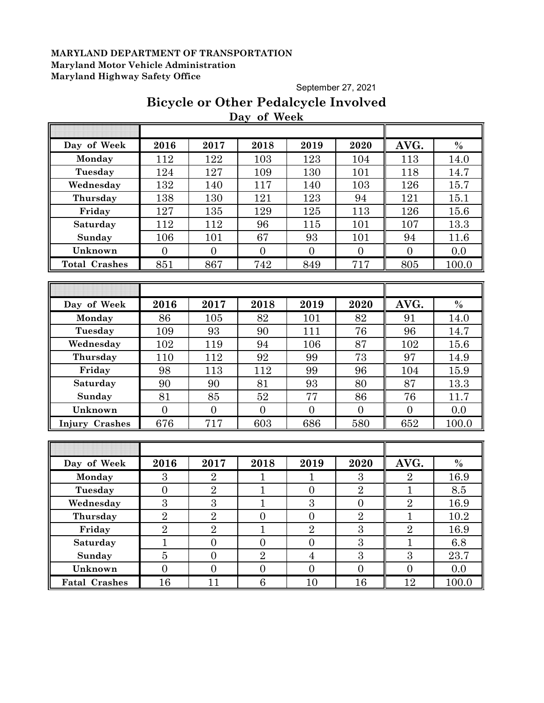September 27, 2021

# **Bicycle or Other Pedalcycle Involved Day of Week**

| Day of Week          | 2016             | 2017           | 2018             | 2019           | 2020             | AVG.           | $\%$          |
|----------------------|------------------|----------------|------------------|----------------|------------------|----------------|---------------|
| Monday               | 112              | 122            | 103              | 123            | 104              | 113            | 14.0          |
| Tuesday              | 124              | 127            | 109              | 130            | 101              | 118            | 14.7          |
| Wednesday            | 132              | 140            | 117              | 140            | 103              | 126            | 15.7          |
| Thursday             | 138              | 130            | 121              | 123            | 94               | 121            | 15.1          |
| Friday               | 127              | 135            | 129              | 125            | 113              | 126            | 15.6          |
| Saturday             | 112              | 112            | 96               | 115            | 101              | 107            | 13.3          |
| Sunday               | 106              | 101            | 67               | 93             | 101              | 94             | 11.6          |
| Unknown              | $\overline{0}$   | $\overline{0}$ | $\overline{0}$   | $\overline{0}$ | $\overline{0}$   | $\overline{0}$ | 0.0           |
| <b>Total Crashes</b> | 851              | 867            | 742              | 849            | 717              | 805            | 100.0         |
|                      |                  |                |                  |                |                  |                |               |
|                      |                  |                |                  |                |                  |                |               |
| Day of Week          | 2016             | 2017           | 2018             | 2019           | 2020             | AVG.           | $\%$          |
| Monday               | 86               | 105            | 82               | 101            | 82               | 91             | 14.0          |
| Tuesday              | 109              | 93             | 90               | 111            | 76               | 96             | 14.7          |
| Wednesday            | 102              | 119            | 94               | 106            | 87               | 102            | 15.6          |
| Thursday             | 110              | 112            | 92               | 99             | 73               | 97             | 14.9          |
| Friday               | 98               | 113            | 112              | 99             | 96               | 104            | 15.9          |
| Saturday             | 90               | 90             | 81               | 93             | 80               | 87             | 13.3          |
| Sunday               | 81               | 85             | 52               | 77             | 86               | 76             | 11.7          |
| Unknown              | $\overline{0}$   | $\overline{0}$ | $\overline{0}$   | $\overline{0}$ | $\overline{0}$   | $\overline{0}$ | 0.0           |
| Injury Crashes       | 676              | 717            | 603              | 686            | 580              | 652            | 100.0         |
|                      |                  |                |                  |                |                  |                |               |
|                      |                  |                |                  |                |                  |                |               |
| Day of Week          | 2016             | 2017           | 2018             | 2019           | 2020             | AVG.           | $\frac{0}{0}$ |
| Monday               | 3                | $\overline{2}$ | $\mathbf{1}$     | $\mathbf{1}$   | 3                | $\overline{2}$ | 16.9          |
| Tuesday              | $\overline{0}$   | $\overline{2}$ | $\mathbf{1}$     | $\overline{0}$ | $\overline{2}$   | $\mathbf 1$    | 8.5           |
| Wednesday            | 3                | 3              | $\mathbf{1}$     | 3              | $\boldsymbol{0}$ | $\sqrt{2}$     | 16.9          |
| Thursday             | $\overline{2}$   | $\overline{2}$ | $\boldsymbol{0}$ | $\overline{0}$ | $\overline{2}$   | $\mathbf{1}$   | 10.2          |
| Friday               | $\overline{2}$   | $\overline{2}$ | $\mathbf{1}$     | $\sqrt{2}$     | $\sqrt{3}$       | $\sqrt{2}$     | 16.9          |
| Saturday             | $\overline{1}$   | $\overline{0}$ | $\overline{0}$   | $\overline{0}$ | 3                | $\overline{1}$ | 6.8           |
| Sunday               | $\overline{5}$   | $\overline{0}$ | $\overline{2}$   | $\overline{4}$ | $\overline{3}$   | $\overline{3}$ | 23.7          |
| Unknown              | $\boldsymbol{0}$ | $\overline{0}$ | $\overline{0}$   | $\overline{0}$ | $\overline{0}$   | $\overline{0}$ | 0.0           |
| <b>Fatal Crashes</b> | 16               | 11             | $6\phantom{1}6$  | 10             | 16               | 12             | 100.0         |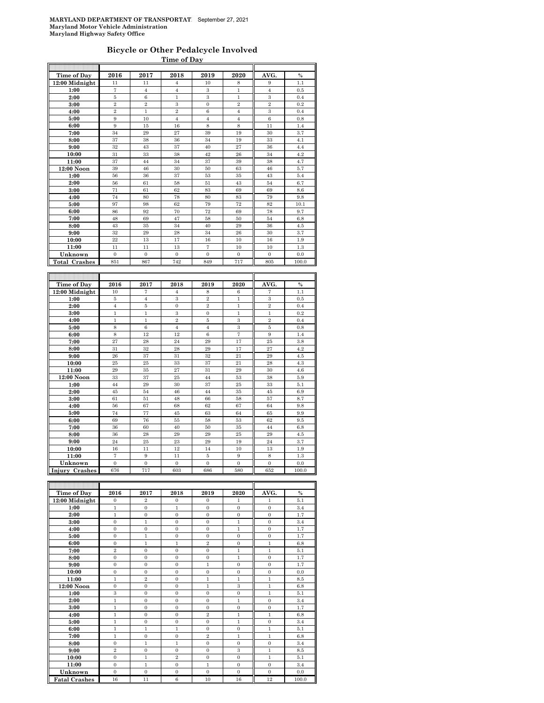#### **Bicycle or Other Pedalcycle Involved Time of Day**

| Time of Day          | 2016              | 2017           | 2018           | 2019           | 2020           | AVG.           | $\frac{0}{0}$ |
|----------------------|-------------------|----------------|----------------|----------------|----------------|----------------|---------------|
| 12:00 Midnight       | 11                | 11             | $\overline{4}$ | 10             | 8              | 9              | 1.1           |
| 1:00                 | $\scriptstyle{7}$ | $\overline{4}$ | $\overline{4}$ | 3              | $\,1$          | $\overline{4}$ | 0.5           |
| 2:00                 | $\overline{5}$    | $\,6$          | $\mathbf{1}$   | 3              | $\mathbf{1}$   | 3              | 0.4           |
| 3:00                 | $\overline{2}$    | $\overline{2}$ | 3              | $\mathbf{0}$   | $\overline{2}$ | $\overline{2}$ | 0.2           |
| 4:00                 | $\overline{2}$    | $\mathbf{1}$   | $\overline{2}$ | 6              | $\overline{4}$ | 3              | 0.4           |
| 5:00                 | 9                 | 10             | $\overline{4}$ | $\overline{4}$ | $\overline{4}$ | 6              | 0.8           |
| 6:00                 | 9                 | 15             | 16             | 8              | 8              | 11             | 1.4           |
| 7:00                 | 34                | 29             | 27             | 39             | 19             | 30             | 3.7           |
| 8:00                 | 37                | 38             | 36             | 34             | 19             | 33             | 4.1           |
| 9:00                 | 32                | 43             | 37             | 40             | 27             | 36             | 4.4           |
| 10:00                | 31                | 33             | 38             | 42             | 26             | 34             | 4.2           |
| 11:00                | 37                | 44             | 34             | 37             | 39             | 38             | 4.7           |
| 12:00 Noon           | 39                | 46             | 30             | 50             | 63             | 46             | 5.7           |
| 1:00                 | 56                | 36             | 37             | 53             | 35             | 43             | 5.4           |
| 2:00                 | 56                | 61             | 58             | 51             | 43             | 54             | 6.7           |
| 3:00                 | 71                | 61             | 62             | 83             | 69             | 69             | 8.6           |
| 4:00                 | 74                | 80             | 78             | 80             | 83             | 79             | 9.8           |
| 5:00                 | 97                | 98             | 62             | 79             | 72             | 82             | 10.1          |
| 6:00                 | 86                | 92             | 70             | 72             | 69             | 78             | 9.7           |
| 7:00                 | 48                | 69             | 47             | 58             | 50             | 54             | 6.8           |
| 8:00                 | 43                | 35             | 34             | 40             | 29             | 36             | 4.5           |
| 9:00                 | 32                | 29             | 28             | 34             | 26             | 30             | 3.7           |
| 10:00                | 22                | 13             | 17             | 16             | 10             | 16             | 1.9           |
| 11:00                | 11                | 11             | 13             | $\overline{7}$ | 10             | 10             | 1.3           |
| Unknown              | $\overline{0}$    | $\overline{0}$ | $\overline{0}$ | $\overline{0}$ | $\overline{0}$ | $\overline{0}$ | 0.0           |
| <b>Total Crashes</b> | 851               | 867            | 742            | 849            | 717            | 805            | 100.0         |
|                      |                   |                |                |                |                |                |               |
|                      |                   |                |                |                |                |                |               |
| <b>Time of Day</b>   | 2016              | 2017           | 2018           | 2019           | 2020           | AVG.           | $\frac{0}{0}$ |
| 12:00 Midnight       | 10                | 7              | $\overline{4}$ | 8              | 6              | 7              | 1.1           |
| 1:00                 | 5                 | $\overline{4}$ | 3              | $\overline{2}$ | $\mathbf{1}$   | 3              | 0.5           |
| 2:00                 | $\overline{4}$    | $\bf 5$        | $\overline{0}$ | $\overline{2}$ | $\mathbf{1}$   | $\overline{2}$ | 0.4           |
| 3:00                 | $\mathbf{1}$      | $\mathbf{1}$   | 3              | $\overline{0}$ | $\overline{1}$ | $\mathbf{1}$   | 0.2           |
| 4:00                 | $\overline{1}$    | $\mathbf{1}$   | $\overline{2}$ | 5              | 3              | $\overline{2}$ | 0.4           |
| 5:00                 | 8                 | 6              | $\overline{4}$ | $\overline{4}$ | 3              | 5              | 0.8           |
| 6:00                 | 8                 | 12             | 12             | 6              | $\overline{7}$ | 9              | 1.4           |
| 7:00                 | 27                | 28             | 24             | 29             | 17             | 25             | 3.8           |
| 8:00                 | 31                | 32             | 28             | 29             | 17             | 27             | 4.2           |
| 9:00                 | 26                | 37             | 31             | 32             | 21             | 29             | 4.5           |
| 10:00                | 25                | 25             | 33             | 37             | 21             | 28             | 4.3           |
| 11:00                | 29                | 35             | 27             | 31             | 29             | 30             | 4.6           |
| 12:00 Noon           | 33                | 37             | 25             | 44             | 53             | 38             | 5.9           |
| 1:00                 | 44                | 29             | 30             | 37             | 25             | 33             | 5.1           |
| 2:00                 | 45                | 54             | 46             | 44             | 35             | 45             | 6.9           |
| 3:00                 | 61                | 51             | 48             | 66             | 58             | 57             | 8.7           |
| 4:00                 | 56                | 67             | 68             | 62             | 67             | 64             | 9.8           |
| 5:00                 | 74                | 77             | 45             | 63             | 64             | 65             | 9.9           |
| 6:00                 | 69                | 76             | 55             | 58             | 53             | 62             | 9.5           |
| 7:00                 | 36                | 60             | 40             | 50             | 35             | 44             | 6.8           |

| 6:00                | 69  | 76  | 55  | 58  | 53       | 62  | 9.5   |
|---------------------|-----|-----|-----|-----|----------|-----|-------|
| 7:00                | 36  | 60  | 40  | 50  | 35       | 44  | 6.8   |
| 8:00                | 36  | 28  | 29  | 29  | $\bf 25$ | 29  | 4.5   |
| 9:00                | 24  | 25  | 23  | 29  | 19       | 24  | 3.7   |
| 10:00               | 16  | 11  | 12  | 14  | 10       | 13  | 1.9   |
| 11:00               |     |     |     |     |          |     | 1.3   |
| Unknown             |     |     |     |     |          |     | 0.0   |
| Crashes<br>  Injury | 676 | 717 | 603 | 686 | 580      | 652 | 100.0 |
|                     |     |     |     |     |          |     |       |

| <b>Time of Day</b>   | 2016           | 2017           | 2018           | 2019           | 2020         | AVG.           | $\%$  |
|----------------------|----------------|----------------|----------------|----------------|--------------|----------------|-------|
| 12:00 Midnight       | $\mathbf{0}$   | $\overline{2}$ | $\mathbf{0}$   | $\mathbf{0}$   | 1            | 1              | 5.1   |
| 1:00                 | $\mathbf{1}$   | $\mathbf{0}$   | $\mathbf{1}$   | $\overline{0}$ | $\mathbf{0}$ | $\overline{0}$ | 3.4   |
| 2:00                 | $\mathbf{1}$   | $\mathbf{0}$   | $\overline{0}$ | $\mathbf{0}$   | $\mathbf{0}$ | $\overline{0}$ | 1.7   |
| 3:00                 | $\Omega$       | $\mathbf{1}$   | $\overline{0}$ | $\Omega$       | $\mathbf{1}$ | $\overline{0}$ | 3.4   |
| 4:00                 | $\overline{0}$ | $\mathbf{0}$   | $\overline{0}$ | $\overline{0}$ | $\mathbf{1}$ | $\overline{0}$ | 1.7   |
| 5:00                 | $\overline{0}$ | 1              | $\overline{0}$ | $\mathbf{0}$   | $\Omega$     | $\overline{0}$ | 1.7   |
| 6:00                 | $\mathbf{0}$   | $\mathbf{1}$   | $\mathbf{1}$   | $\overline{2}$ | $\mathbf{0}$ | $\mathbf{1}$   | 6.8   |
| 7:00                 | $\overline{2}$ | $\Omega$       | $\mathbf{0}$   | $\overline{0}$ | $\mathbf{1}$ | $\mathbf{1}$   | 5.1   |
| 8:00                 | $\theta$       | $\Omega$       | $\overline{0}$ | $\Omega$       | $\mathbf{1}$ | $\overline{0}$ | 1.7   |
| 9:00                 | $\mathbf{0}$   | $\mathbf{0}$   | $\mathbf{0}$   | $\mathbf{1}$   | $\mathbf{0}$ | $\mathbf{0}$   | 1.7   |
| 10:00                | $\overline{0}$ | $\mathbf{0}$   | $\overline{0}$ | $\overline{0}$ | $\mathbf{0}$ | $\overline{0}$ | 0.0   |
| 11:00                | $\mathbf{1}$   | $\overline{2}$ | $\mathbf{0}$   | $\mathbf{1}$   | $\mathbf{1}$ | $\mathbf{1}$   | 8.5   |
| 12:00 Noon           | $\mathbf{0}$   | $\mathbf{0}$   | $\Omega$       | $\mathbf{1}$   | 3            | $\mathbf{1}$   | 6.8   |
| 1:00                 | 3              | $\Omega$       | $\overline{0}$ | $\Omega$       | $\mathbf{0}$ | $\mathbf{1}$   | 5.1   |
| 2:00                 | $\mathbf{1}$   | $\overline{0}$ | $\overline{0}$ | $\mathbf{0}$   | $\mathbf{1}$ | $\overline{0}$ | 3.4   |
| 3:00                 | $\mathbf{1}$   | $\mathbf{0}$   | $\overline{0}$ | $\overline{0}$ | $\mathbf{0}$ | $\overline{0}$ | 1.7   |
| 4:00                 | $\mathbf{1}$   | $\mathbf{0}$   | $\mathbf{0}$   | $\overline{2}$ | $\mathbf{1}$ | $\mathbf{1}$   | 6.8   |
| 5:00                 | $\mathbf{1}$   | $\overline{0}$ | $\overline{0}$ | $\overline{0}$ | $\mathbf{1}$ | $\overline{0}$ | 3.4   |
| 6:00                 | $\mathbf{1}$   | 1              | $\mathbf{1}$   | $\Omega$       | $\Omega$     | $\mathbf{1}$   | 5.1   |
| 7:00                 | $\mathbf{1}$   | $\overline{0}$ | $\overline{0}$ | $\overline{2}$ | $\mathbf{1}$ | $\mathbf{1}$   | 6.8   |
| 8:00                 | $\mathbf{0}$   | $\mathbf{1}$   | $\mathbf{1}$   | $\overline{0}$ | $\mathbf{0}$ | $\overline{0}$ | 3.4   |
| 9:00                 | $\overline{2}$ | $\Omega$       | $\Omega$       | $\Omega$       | 3            | $\mathbf{1}$   | 8.5   |
| 10:00                | $\mathbf{0}$   | $\mathbf{1}$   | $\overline{2}$ | $\mathbf{0}$   | $\mathbf{0}$ | $\mathbf{1}$   | 5.1   |
| 11:00                | $\overline{0}$ | $\mathbf{1}$   | $\overline{0}$ | $\mathbf{1}$   | $\mathbf{0}$ | $\overline{0}$ | 3.4   |
| Unknown              | $\mathbf{0}$   | $\mathbf{0}$   | $\overline{0}$ | $\mathbf{0}$   | $\mathbf{0}$ | $\overline{0}$ | 0.0   |
| <b>Fatal Crashes</b> | 16             | 11             | 6              | 10             | 16           | 12             | 100.0 |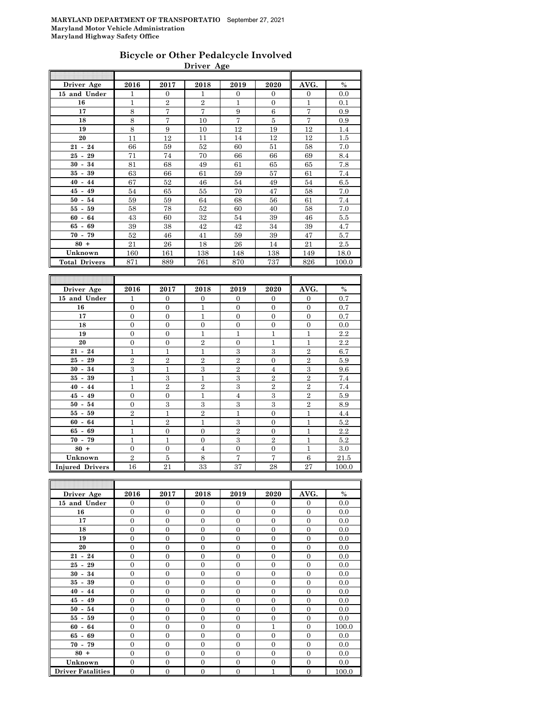### **Bicycle or Other Pedalcycle Involved Driver Age**

| Driver Age           | 2016           | 2017           | 2018           | 2019           | 2020           | AVG.           | $\%$  |
|----------------------|----------------|----------------|----------------|----------------|----------------|----------------|-------|
| 15 and Under         | $\mathbf{1}$   | $\overline{0}$ | $\mathbf{1}$   | $\overline{0}$ | $\overline{0}$ | $\overline{0}$ | 0.0   |
| 16                   | 1              | $\overline{2}$ | $\overline{2}$ | $\mathbf{1}$   | $\overline{0}$ | $\mathbf{1}$   | 0.1   |
| 17                   | 8              | $\overline{7}$ | $\overline{7}$ | 9              | 6              | $\overline{7}$ | 0.9   |
| 18                   | 8              | $\overline{7}$ | 10             | $\overline{7}$ | 5              | $\overline{7}$ | 0.9   |
| 19                   | 8              | 9              | 10             | 12             | 19             | 12             | 1.4   |
| 20                   | 11             | 12             | 11             | 14             | 12             | 12             | 1.5   |
| $21 - 24$            | 66             | 59             | 52             | 60             | 51             | 58             | 7.0   |
| $25 - 29$            | 71             | 74             | 70             | 66             | 66             | 69             | 8.4   |
| $30 - 34$            | 81             | 68             | 49             | 61             | 65             | 65             | 7.8   |
| $35 - 39$            | 63             | 66             | 61             | 59             | 57             | 61             | 7.4   |
| $40 - 44$            | 67             | 52             | 46             | 54             | 49             | 54             | 6.5   |
| $45 - 49$            | 54             | 65             | 55             | 70             | 47             | 58             | 7.0   |
| $50 - 54$            | 59             | 59             | 64             | 68             | 56             | 61             | 7.4   |
| $55 - 59$            | 58             | 78             | 52             | 60             | 40             | 58             | 7.0   |
| $60 - 64$            | 43             | 60             | 32             | 54             | 39             | 46             | 5.5   |
| $65 - 69$            | 39             | 38             | 42             | 42             | 34             | 39             | 4.7   |
| $70 - 79$            | 52             | 46             | 41             | 59             | 39             | 47             | 5.7   |
| $80 +$               | 21             | 26             | 18             | 26             | 14             | 21             | 2.5   |
| Unknown              | 160            | 161            | 138            | 148            | 138            | 149            | 18.0  |
| <b>Total Drivers</b> | 871            | 889            | 761            | 870            | 737            | 826            | 100.0 |
|                      |                |                |                |                |                |                |       |
|                      |                |                |                |                |                |                |       |
| Driver Age           | 2016           | 2017           | 2018           | 2019           | 2020           | AVG.           | $\%$  |
| 15 and Under         | 1              | $\overline{0}$ | $\overline{0}$ | $\overline{0}$ | $\Omega$       | $\overline{0}$ | 0.7   |
| 16                   | $\overline{0}$ | $\overline{0}$ | $\mathbf{1}$   | $\theta$       | $\overline{0}$ | $\overline{0}$ | 0.7   |
| 17                   | $\Omega$       | $\Omega$       | $\mathbf{1}$   | $\theta$       | $\Omega$       | $\mathbf{0}$   | 0.7   |
| 18                   | $\overline{0}$ | $\overline{0}$ | $\overline{0}$ | $\overline{0}$ | $\overline{0}$ | $\overline{0}$ | 0.0   |
| 19                   | $\overline{0}$ | $\overline{0}$ | $\mathbf{1}$   | $\mathbf{1}$   | $\mathbf{1}$   | $\mathbf{1}$   | 2.2   |
| 20                   | $\Omega$       | $\Omega$       | $\Omega$       | $\Omega$       | $\mathbf{1}$   | $\mathbf{1}$   | 99    |

| 20                     | $\Omega$       | $\overline{0}$ | $\overline{2}$ | $\mathbf{0}$   |                | 1              | 2.2   |
|------------------------|----------------|----------------|----------------|----------------|----------------|----------------|-------|
| $21 - 24$              |                | 1              | 1              | 3              | 3              | $\overline{2}$ | 6.7   |
| $25 - 29$              | $\overline{2}$ | $\overline{2}$ | $\overline{2}$ | $\overline{2}$ | $\overline{0}$ | $\overline{2}$ | 5.9   |
| $30 - 34$              | 3              | 1              | 3              | $\overline{2}$ | 4              | 3              | 9.6   |
| $35 - 39$              |                | 3              | 1              | 3              | $\overline{2}$ | $\overline{2}$ | 7.4   |
| $40 - 44$              |                | $\overline{2}$ | $\overline{2}$ | 3              | $\overline{2}$ | $\overline{2}$ | 7.4   |
| $45 - 49$              | $\Omega$       | $\mathbf{0}$   | 1              | $\overline{4}$ | 3              | $\overline{2}$ | 5.9   |
| $50 - 54$              | $\Omega$       | 3              | 3              | 3              | 3              | $\overline{2}$ | 8.9   |
| $55 - 59$              | $\overline{2}$ |                | $\overline{2}$ |                | $\overline{0}$ | 1              | 4.4   |
| $60 - 64$              |                | $\overline{2}$ | 1              | 3              | $\mathbf{0}$   |                | 5.2   |
| $65 - 69$              |                | $\Omega$       | $\Omega$       | $\overline{2}$ | $\Omega$       |                | 2.2   |
| $70 - 79$              |                |                | $\overline{0}$ | 3              | $\overline{2}$ |                | 5.2   |
| $80 +$                 | $\Omega$       | $\Omega$       | $\overline{4}$ | $\Omega$       | $\Omega$       | 1              | 3.0   |
| Unknown                | $\overline{2}$ | 5              | 8              | 7              | 7              | 6              | 21.5  |
| <b>Injured Drivers</b> | 16             | 21             | 33             | 37             | 28             | 27             | 100.0 |

| Driver Age               | 2016           | 2017           | 2018           | 2019           | 2020           | AVG.           | $\%$  |
|--------------------------|----------------|----------------|----------------|----------------|----------------|----------------|-------|
| 15 and Under             | $\Omega$       | $\Omega$       | $\Omega$       | $\Omega$       | $\Omega$       | $\Omega$       | 0.0   |
| 16                       | $\overline{0}$ | $\overline{0}$ | $\Omega$       | $\Omega$       | $\Omega$       | $\overline{0}$ | 0.0   |
| 17                       | $\Omega$       | $\Omega$       | $\Omega$       | $\Omega$       | $\theta$       | $\Omega$       | 0.0   |
| 18                       | $\Omega$       | $\Omega$       | $\Omega$       | $\Omega$       | $\theta$       | $\Omega$       | 0.0   |
| 19                       | $\overline{0}$ | $\overline{0}$ | $\Omega$       | $\Omega$       | $\Omega$       | $\Omega$       | 0.0   |
| 20                       | $\Omega$       | $\Omega$       | $\Omega$       | $\Omega$       | $\theta$       | $\Omega$       | 0.0   |
| $21 - 24$                | $\overline{0}$ | $\overline{0}$ | $\Omega$       | $\overline{0}$ | $\overline{0}$ | $\overline{0}$ | 0.0   |
| $25 - 29$                | $\overline{0}$ | $\overline{0}$ | $\theta$       | $\Omega$       | $\theta$       | $\overline{0}$ | 0.0   |
| $30 - 34$                | $\overline{0}$ | $\overline{0}$ | $\Omega$       | $\Omega$       | $\overline{0}$ | $\overline{0}$ | 0.0   |
| $35 - 39$                | $\overline{0}$ | $\overline{0}$ | $\Omega$       | $\Omega$       | $\overline{0}$ | $\overline{0}$ | 0.0   |
| $40 - 44$                | $\overline{0}$ | $\overline{0}$ | $\Omega$       | $\Omega$       | $\theta$       | $\overline{0}$ | 0.0   |
| $45 - 49$                | $\overline{0}$ | $\overline{0}$ | $\Omega$       | $\Omega$       | $\overline{0}$ | $\theta$       | 0.0   |
| $50 - 54$                | $\Omega$       | $\overline{0}$ | $\Omega$       | $\Omega$       | $\theta$       | $\overline{0}$ | 0.0   |
| $55 - 59$                | $\Omega$       | $\Omega$       | $\Omega$       | $\Omega$       | $\theta$       | $\theta$       | 0.0   |
| $60 - 64$                | $\overline{0}$ | $\overline{0}$ | $\Omega$       | $\Omega$       | 1              | $\overline{0}$ | 100.0 |
| $65 - 69$                | $\overline{0}$ | $\overline{0}$ | $\theta$       | $\Omega$       | $\theta$       | $\overline{0}$ | 0.0   |
| $70 - 79$                | $\Omega$       | $\overline{0}$ | $\Omega$       | $\Omega$       | $\theta$       | $\overline{0}$ | 0.0   |
| $80 +$                   | $\overline{0}$ | $\overline{0}$ | $\Omega$       | $\Omega$       | $\Omega$       | $\overline{0}$ | 0.0   |
| Unknown                  | $\overline{0}$ | $\overline{0}$ | $\Omega$       | $\Omega$       | $\overline{0}$ | $\Omega$       | 0.0   |
| <b>Driver Fatalities</b> | $\mathbf{0}$   | $\overline{0}$ | $\overline{0}$ | $\mathbf{0}$   | 1              | $\overline{0}$ | 100.0 |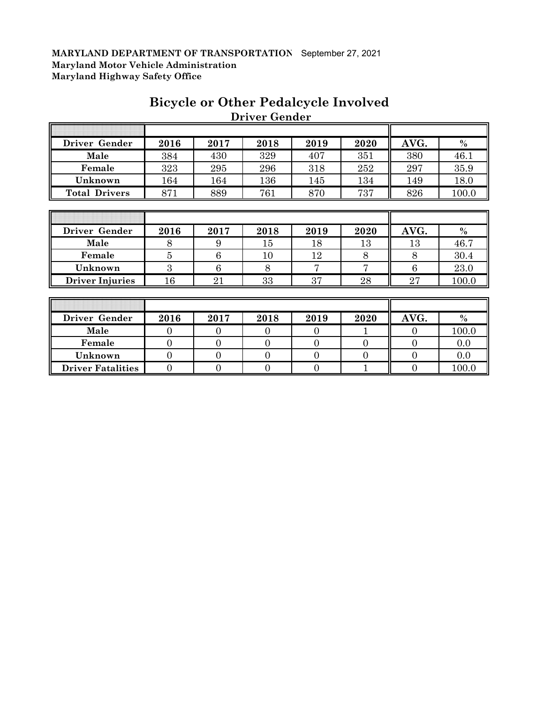| Driver Gender          | 2016           | 2017 | 2018 | 2019           | 2020 | AVG. | $\frac{0}{0}$ |
|------------------------|----------------|------|------|----------------|------|------|---------------|
| Male                   | 384            | 430  | 329  | 407            | 351  | 380  | 46.1          |
| Female                 | 323            | 295  | 296  | 318            | 252  | 297  | 35.9          |
| Unknown                | 164            | 164  | 136  | 145            | 134  | 149  | 18.0          |
| <b>Total Drivers</b>   | 871            | 889  | 761  | 870            | 737  | 826  | 100.0         |
|                        |                |      |      |                |      |      |               |
|                        |                |      |      |                |      |      |               |
| Driver Gender          | 2016           | 2017 | 2018 | 2019           | 2020 | AVG. | $\frac{0}{0}$ |
| Male                   | 8              | 9    | 15   | 18             | 13   | 13   | 46.7          |
| Female                 | $\overline{5}$ | 6    | 10   | 12             | 8    | 8    | 30.4          |
| Unknown                | 3              | 6    | 8    | $\overline{7}$ | 7    | 6    | 23.0          |
| <b>Driver Injuries</b> | 16             | 21   | 33   | 37             | 28   | 27   | 100.0         |
|                        |                |      |      |                |      |      |               |
|                        |                |      |      |                |      |      |               |
| <b>Driver Gender</b>   | 2016           | 2017 | 2018 | 2019           | 2020 | AVG. | $\frac{0}{0}$ |

# **Bicycle or Other Pedalcycle Involved Driver Gender**

 $\overline{a}$ 

| Driver Gender            | 2016 | 2017 | 2018 | 2019 | 2020 | AVG. | $\frac{0}{0}$ |
|--------------------------|------|------|------|------|------|------|---------------|
| Male                     |      |      |      |      |      |      | 100.0         |
| Female                   |      |      |      |      |      |      | 0.0           |
| Unknown                  |      |      |      |      |      |      | 0.0           |
| <b>Driver Fatalities</b> |      |      |      |      |      |      | 100.0         |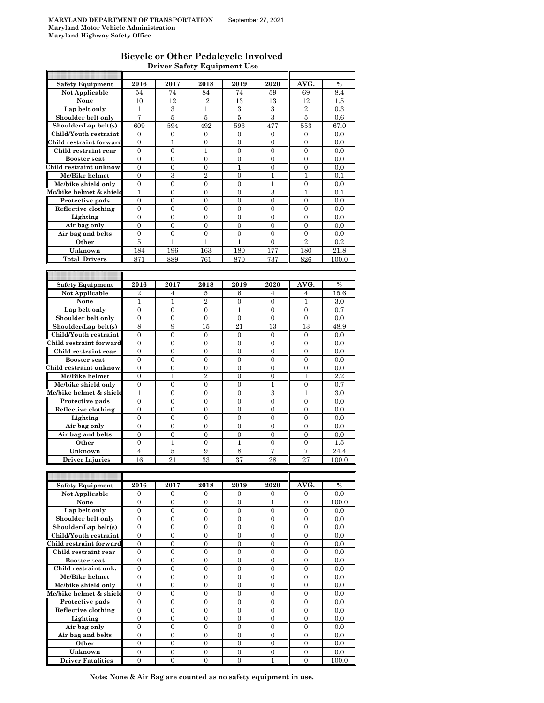### **Bicycle or Other Pedalcycle Involved Driver Safety Equipment Use**

| <b>Safety Equipment</b>             | 2016                         | 2017                         | 2018                         | 2019                         | 2020                | AVG.                           | $\%$          |
|-------------------------------------|------------------------------|------------------------------|------------------------------|------------------------------|---------------------|--------------------------------|---------------|
| Not Applicable                      | 54                           | 74                           | 84                           | 74                           | 59                  | 69                             | 8.4           |
| None                                | 10                           | 12                           | 12                           | 13                           | 13                  | 12                             | $1.5\,$       |
| Lap belt only                       | 1                            | 3                            | $\mathbf{1}$                 | 3                            | 3                   | $\overline{2}$                 | 0.3           |
| Shoulder belt only                  | 7                            | 5                            | 5                            | 5                            | 3                   | 5                              | 0.6           |
| Shoulder/Lap belt(s)                | 609                          | 594                          | 492                          | 593                          | 477                 | 553                            | 67.0          |
| Child/Youth restraint               | $\Omega$                     |                              |                              |                              |                     |                                |               |
|                                     |                              | $\mathbf{0}$                 | $\overline{0}$               | $\overline{0}$               | $\overline{0}$      | $\overline{0}$                 | 0.0           |
| Child restraint forward             | 0                            | 1                            | 0                            | 0                            | 0                   | 0                              | 0.0           |
| Child restraint rear                | $\overline{0}$               | $\overline{0}$               | $\mathbf{1}$                 | $\overline{0}$               | $\overline{0}$      | $\overline{0}$                 | 0.0           |
| <b>Booster seat</b>                 | $\boldsymbol{0}$             | $\boldsymbol{0}$             | 0                            | $\boldsymbol{0}$             | $\boldsymbol{0}$    | $\boldsymbol{0}$               | 0.0           |
| Child restraint unknow              | $\overline{0}$               | $\overline{0}$               | $\overline{0}$               | $\mathbf{1}$                 | $\overline{0}$      | $\overline{0}$                 | 0.0           |
| Mc/Bike helmet                      | $\boldsymbol{0}$             | 3                            | $\overline{2}$               | $\boldsymbol{0}$             | 1                   | 1                              | 0.1           |
| Mc/bike shield only                 | $\overline{0}$               | $\overline{0}$               | $\overline{0}$               | $\overline{0}$               | 1                   | $\overline{0}$                 | 0.0           |
| Mc/bike helmet & shield             | 1                            | $\overline{0}$               | $\overline{0}$               | $\overline{0}$               | 3                   | $\mathbf{1}$                   | 0.1           |
| Protective pads                     | $\overline{0}$               | $\overline{0}$               | $\overline{0}$               | $\overline{0}$               | $\overline{0}$      | $\overline{0}$                 | 0.0           |
| Reflective clothing                 | 0                            | 0                            | 0                            | 0                            | 0                   | $\boldsymbol{0}$               | 0.0           |
|                                     |                              |                              |                              |                              |                     |                                |               |
| Lighting                            | 0                            | 0                            | 0                            | 0                            | 0                   | 0                              | 0.0           |
| Air bag only                        | $\boldsymbol{0}$             | $\overline{0}$               | $\overline{0}$               | $\overline{0}$               | $\boldsymbol{0}$    | $\overline{0}$                 | 0.0           |
| Air bag and belts                   | 0                            | $\boldsymbol{0}$             | $\overline{0}$               | $\boldsymbol{0}$             | $\overline{0}$      | $\overline{0}$                 | 0.0           |
| Other                               | 5                            | 1                            | 1                            | 1                            | $\theta$            | $\overline{2}$                 | 0.2           |
| Unknown                             | 184                          | 196                          | 163                          | 180                          | 177                 | 180                            | 21.8          |
| <b>Total Drivers</b>                | 871                          | 889                          | 761                          | 870                          | 737                 | 826                            | 100.0         |
|                                     |                              |                              |                              |                              |                     |                                |               |
|                                     |                              |                              |                              |                              |                     |                                |               |
|                                     |                              |                              |                              |                              |                     |                                |               |
| <b>Safety Equipment</b>             | 2016                         | 2017                         | 2018                         | 2019                         | 2020                | AVG.                           | $\frac{0}{0}$ |
| Not Applicable                      | $\overline{2}$               | 4                            | 5                            | 6                            | 4                   | 4                              | 15.6          |
| None                                | $\mathbf{1}$                 | 1                            | $\overline{2}$               | $\overline{0}$               | $\overline{0}$      | $\mathbf{1}$                   | 3.0           |
| Lap belt only                       | $\mathbf{0}$                 | $\mathbf{0}$                 | $\overline{0}$               | $\mathbf{1}$                 | $\overline{0}$      | $\overline{0}$                 | 0.7           |
| Shoulder belt only                  | 0                            | 0                            | 0                            | 0                            | 0                   | 0                              | 0.0           |
| Shoulder/Lap belt(s)                | 8                            | 9                            | 15                           | 21                           | 13                  | 13                             | 48.9          |
| Child/Youth restraint               | $\boldsymbol{0}$             | $\boldsymbol{0}$             | $\boldsymbol{0}$             | $\boldsymbol{0}$             | $\boldsymbol{0}$    | $\boldsymbol{0}$               | 0.0           |
| Child restraint forward             | $\overline{0}$               | $\overline{0}$               | $\overline{0}$               | $\overline{0}$               | $\overline{0}$      | $\overline{0}$                 | 0.0           |
| Child restraint rear                | $\boldsymbol{0}$             | $\boldsymbol{0}$             | $\boldsymbol{0}$             | $\boldsymbol{0}$             | 0                   | 0                              | 0.0           |
|                                     | $\overline{0}$               | $\overline{0}$               | $\overline{0}$               | $\overline{0}$               | $\overline{0}$      | $\overline{0}$                 |               |
| <b>Booster seat</b>                 |                              |                              |                              |                              |                     |                                | 0.0           |
| Child restraint unknow              | $\overline{0}$               | 0                            | 0                            | $\overline{0}$               | 0                   | 0                              | 0.0           |
| Mc/Bike helmet                      | $\overline{0}$               | $\mathbf{1}$                 | $\overline{2}$               | $\overline{0}$               | 0                   | 1                              | 2.2           |
| Mc/bike shield only                 | 0                            | 0                            | 0                            | 0                            | 1                   | 0                              | 0.7           |
| Mc/bike helmet & shield             | 1                            | 0                            | 0                            | 0                            | 3                   | 1                              | 3.0           |
| Protective pads                     | $\boldsymbol{0}$             | $\overline{0}$               | $\overline{0}$               | $\overline{0}$               | $\boldsymbol{0}$    | $\boldsymbol{0}$               | 0.0           |
|                                     |                              |                              |                              |                              |                     |                                |               |
|                                     |                              |                              |                              |                              |                     |                                |               |
| Reflective clothing                 | $\boldsymbol{0}$             | $\boldsymbol{0}$             | $\boldsymbol{0}$             | $\boldsymbol{0}$             | $\boldsymbol{0}$    | $\boldsymbol{0}$               | 0.0           |
| Lighting                            | $\overline{0}$               | $\overline{0}$               | $\overline{0}$               | $\overline{0}$               | $\overline{0}$      | $\overline{0}$                 | 0.0           |
| Air bag only                        | $\mathbf{0}$                 | $\mathbf{0}$                 | $\boldsymbol{0}$             | $\mathbf{0}$                 | $\mathbf{0}$        | $\mathbf{0}$                   | 0.0           |
| Air bag and belts                   | $\overline{0}$               | $\overline{0}$               | $\overline{0}$               | $\overline{0}$               | 0                   | 0                              | 0.0           |
| Other                               | $\overline{0}$               | 1                            | $\overline{0}$               | $\mathbf{1}$                 | 0                   | $\overline{0}$                 | 1.5           |
| Unknown                             | $\overline{4}$               | 5                            | 9                            | 8                            | 7                   | 7                              | 24.4          |
| <b>Driver Injuries</b>              | 16                           | 21                           | 33                           | 37                           | 28                  | 27                             | 100.0         |
|                                     |                              |                              |                              |                              |                     |                                |               |
|                                     |                              |                              |                              |                              |                     |                                |               |
|                                     |                              |                              |                              |                              |                     |                                |               |
| <b>Safety Equipment</b>             | 2016                         | 2017                         | 2018                         | 2019                         | 2020                | AVG.                           | $\%$          |
| Not Applicable                      | 0                            | 0                            | 0                            | 0                            | 0                   | 0                              | 0.0           |
| None                                | $\boldsymbol{0}$             | $\overline{0}$               | $\overline{0}$               | $\overline{0}$               | $\mathbf{1}$        | $\overline{0}$                 | 100.0         |
| Lap belt only                       | 0                            | 0                            | 0                            | 0                            | 0                   | 0                              | 0.0           |
| Shoulder belt only                  | $\mathbf{0}$                 | $\mathbf{0}$                 | $\overline{0}$               | $\overline{0}$               | $\overline{0}$      | $\overline{0}$                 | 0.0           |
| Shoulder/Lap belt(s)                | $\mathbf{0}$                 | $\mathbf{0}$                 | 0                            | $\mathbf{0}$                 | $\mathbf{0}$        | $\mathbf{0}$                   | 0.0           |
| Child/Youth restraint               | $\mathbf{0}$                 | $\mathbf{0}$                 | $\overline{0}$               | $\overline{0}$               | $\overline{0}$      | $\overline{0}$                 | 0.0           |
| Child restraint forward             | $\boldsymbol{0}$             | $\boldsymbol{0}$             | $\boldsymbol{0}$             | $\boldsymbol{0}$             | $\boldsymbol{0}$    | $\boldsymbol{0}$               | 0.0           |
| Child restraint rear                | $\mathbf{0}$                 | $\overline{0}$               | $\overline{0}$               | $\overline{0}$               | 0                   | $\overline{0}$                 | 0.0           |
|                                     |                              |                              |                              |                              |                     |                                |               |
| <b>Booster seat</b>                 | $\boldsymbol{0}$             | $\boldsymbol{0}$             | 0                            | $\boldsymbol{0}$             | $\boldsymbol{0}$    | $\boldsymbol{0}$               | 0.0           |
| Child restraint unk.                | 0                            | $\boldsymbol{0}$             | 0                            | 0                            | $\boldsymbol{0}$    | $\boldsymbol{0}$               | 0.0           |
| Mc/Bike helmet                      | $\boldsymbol{0}$             | $\boldsymbol{0}$             | $\boldsymbol{0}$             | $\boldsymbol{0}$             | $\boldsymbol{0}$    | $\boldsymbol{0}$               | 0.0           |
| Mc/bike shield only                 | $\boldsymbol{0}$             | $\boldsymbol{0}$             | $\boldsymbol{0}$             | $\boldsymbol{0}$             | $\boldsymbol{0}$    | $\boldsymbol{0}$               | 0.0           |
| Mc/bike helmet & shield             | $\mathbf{0}$                 | $\mathbf{0}$                 | $\overline{0}$               | $\overline{0}$               | $\overline{0}$      | $\overline{0}$                 | 0.0           |
| Protective pads                     | $\boldsymbol{0}$             | $\boldsymbol{0}$             | $\mathbf{0}$                 | $\mathbf{0}$                 | $\boldsymbol{0}$    | $\boldsymbol{0}$               | 0.0           |
| Reflective clothing                 | $\mathbf{0}$                 | $\mathbf{0}$                 | $\overline{0}$               | $\overline{0}$               | 0                   | $\overline{0}$                 | 0.0           |
| Lighting                            | $\mathbf{0}$                 | $\boldsymbol{0}$             | $\overline{0}$               | $\overline{0}$               | $\overline{0}$      | $\overline{0}$                 | 0.0           |
|                                     | $\overline{0}$               | $\overline{0}$               | $\overline{0}$               | $\overline{0}$               | 0                   | 0                              | 0.0           |
| Air bag only                        |                              |                              |                              |                              |                     |                                |               |
| Air bag and belts                   | $\mathbf{0}$                 | $\overline{0}$               | $\overline{0}$               | $\overline{0}$               | $\overline{0}$      | $\overline{0}$                 | 0.0           |
| Other                               | $\boldsymbol{0}$             | $\boldsymbol{0}$             | 0                            | $\boldsymbol{0}$             | $\boldsymbol{0}$    | $\boldsymbol{0}$               | 0.0           |
| Unknown<br><b>Driver Fatalities</b> | $\mathbf{0}$<br>$\mathbf{0}$ | $\mathbf{0}$<br>$\mathbf{0}$ | $\mathbf{0}$<br>$\mathbf{0}$ | $\mathbf{0}$<br>$\mathbf{0}$ | $\overline{0}$<br>1 | $\overline{0}$<br>$\mathbf{0}$ | 0.0<br>100.0  |

**Note: None & Air Bag are counted as no safety equipment in use.**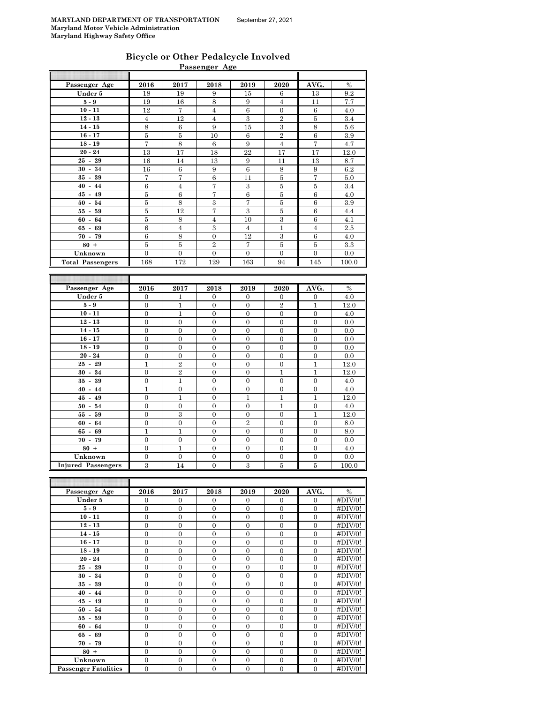| <b>Bicycle or Other Pedalcycle Involved</b> |  |
|---------------------------------------------|--|
| Passenger Age                               |  |

|                                      |                  |                   | Passenger Age    |                  |                         |                  |                 |
|--------------------------------------|------------------|-------------------|------------------|------------------|-------------------------|------------------|-----------------|
|                                      |                  |                   |                  |                  |                         |                  |                 |
| Passenger Age                        | 2016             | 2017              | 2018             | 2019             | 2020                    | AVG.             | $\%$            |
| Under 5                              | 18               | 19                | 9                | 15               | 6                       | 13               | 9.2             |
| $5-9$                                | 19               | 16                | 8                | 9                | $\overline{4}$          | 11               | 7.7             |
| $10 - 11$                            | 12               | $\scriptstyle{7}$ | $\overline{4}$   | $\,6\,$          | $\boldsymbol{0}$        | $\,6\,$          | 4.0             |
| $12 - 13$                            | $\overline{4}$   | 12                | $\overline{4}$   | 3                | $\,2$                   | $\bf 5$          | 3.4             |
| $14 - 15$                            | 8                | 6                 | 9                | 15               | $\,3$                   | $\,8\,$          | 5.6             |
| $16 - 17$                            | $\bf 5$          | 5                 | 10               | 6                | $\overline{2}$          | 6                | 3.9             |
| $18 - 19$                            | 7                | 8                 | 6                | 9                | $\overline{4}$          | 7                | 4.7             |
| $20 - 24$                            | 13               | 17                | 18               | 22               | 17                      | 17               | 12.0            |
| $25 - 29$                            | 16               | 14                | 13               | 9                | 11                      | 13               | 8.7             |
| $30 - 34$                            | 16               | 6                 | 9                | $\,6$            | $\,8\,$                 | 9                | 6.2             |
| $35 - 39$                            | 7                | 7                 | 6                | 11               | 5                       | 7                | 5.0             |
| $40 - 44$                            | $\,6$            | $\overline{4}$    | 7                | 3                | $\bf 5$                 | $\bf 5$          | 3.4             |
| $45 - 49$                            | 5                | 6                 | 7                | 6                | $\bf 5$                 | 6                | 4.0             |
| $50 - 54$                            | 5                | 8                 | $\,3$            | $\overline{7}$   | $\bf 5$                 | $\,6$            | 3.9             |
| $55 -$<br>59                         | $\bf 5$          | 12                | 7                | 3                | $\overline{5}$          | $\,6$            | 4.4             |
| $60 -$<br>64                         | 5                | 8                 | $\overline{4}$   | 10               | $\overline{3}$          | $\,6$            | 4.1             |
| $65 -$<br>69                         | $\,6$            | $\overline{4}$    | 3                | $\overline{4}$   | $\mathbf{1}$            | $\overline{4}$   | 2.5             |
| $70 - 79$                            | $\,6$            | 8                 | $\overline{0}$   | 12               | 3                       | $\,6\,$          | 4.0             |
| $80 +$                               | $\bf 5$          | $\bf 5$           | $\overline{2}$   | 7                | $\overline{5}$          | $\bf 5$          | 3.3             |
| Unknown                              | $\overline{0}$   | $\overline{0}$    | $\overline{0}$   | $\mathbf{0}$     | $\mathbf{0}$            | $\overline{0}$   | 0.0             |
| <b>Total Passengers</b>              | 168              | 172               | 129              | 163              | 94                      | 145              | 100.0           |
|                                      |                  |                   |                  |                  |                         |                  |                 |
|                                      |                  |                   |                  |                  |                         |                  |                 |
| Passenger Age                        | 2016             | 2017              | 2018             | 2019             | 2020                    | AVG.             | $\%$            |
| Under 5                              |                  |                   |                  |                  |                         |                  |                 |
|                                      | $\boldsymbol{0}$ | 1                 | $\boldsymbol{0}$ | $\boldsymbol{0}$ | $\boldsymbol{0}$        | $\boldsymbol{0}$ | 4.0             |
| ${\bf 5}$ - ${\bf 9}$                | $\boldsymbol{0}$ | $\mathbf{1}$      | $\boldsymbol{0}$ | $\boldsymbol{0}$ | $\overline{2}$          | $\mathbf{1}$     | 12.0            |
| $10 - 11$                            | $\boldsymbol{0}$ | $\mathbf 1$       | $\boldsymbol{0}$ | $\boldsymbol{0}$ | $\boldsymbol{0}$        | $\boldsymbol{0}$ | 4.0             |
| $12 - 13$                            | $\boldsymbol{0}$ | $\boldsymbol{0}$  | $\boldsymbol{0}$ | $\boldsymbol{0}$ | $\mathbf{0}$            | $\boldsymbol{0}$ | 0.0             |
| $14 - 15$                            | $\boldsymbol{0}$ | $\mathbf{0}$      | $\mathbf{0}$     | $\mathbf{0}$     | $\boldsymbol{0}$        | $\boldsymbol{0}$ | 0.0             |
| $16 - 17$                            | $\boldsymbol{0}$ | $\boldsymbol{0}$  | $\boldsymbol{0}$ | $\boldsymbol{0}$ | $\boldsymbol{0}$        | $\boldsymbol{0}$ | 0.0             |
| $18 - 19$                            | $\boldsymbol{0}$ | $\mathbf{0}$      | $\boldsymbol{0}$ | $\mathbf 0$      | $\mathbf{0}$            | $\boldsymbol{0}$ | 0.0             |
| $20 - 24$                            | $\boldsymbol{0}$ | $\boldsymbol{0}$  | $\boldsymbol{0}$ | $\boldsymbol{0}$ | $\boldsymbol{0}$        | $\boldsymbol{0}$ | 0.0             |
| $25 - 29$                            | $\mathbf{1}$     | $\overline{2}$    | $\mathbf{0}$     | $\mathbf{0}$     | $\mathbf{0}$            | $\mathbf{1}$     | 12.0            |
| $30 - 34$                            | $\boldsymbol{0}$ | $\,2$             | $\boldsymbol{0}$ | $\boldsymbol{0}$ | $\mathbf{1}$            | $\mathbf{1}$     | 12.0            |
| $35 - 39$                            | $\boldsymbol{0}$ | $\mathbf 1$       | $\boldsymbol{0}$ | $\mathbf{0}$     | $\mathbf{0}$            | $\boldsymbol{0}$ | 4.0             |
| $40 - 44$                            | $\mathbf{1}$     | $\boldsymbol{0}$  | $\boldsymbol{0}$ | $\boldsymbol{0}$ | $\boldsymbol{0}$        | $\boldsymbol{0}$ | 4.0             |
| $45 - 49$                            | $\boldsymbol{0}$ | $\mathbf 1$       | $\boldsymbol{0}$ | $\mathbf{1}$     | $\mathbf{1}$            | $\mathbf{1}$     | 12.0            |
| $50 - 54$                            | $\boldsymbol{0}$ | $\boldsymbol{0}$  | $\boldsymbol{0}$ | $\boldsymbol{0}$ | $\mathbf{1}$            | $\boldsymbol{0}$ | 4.0             |
| $55 - 59$                            | $\boldsymbol{0}$ | 3                 | $\boldsymbol{0}$ | $\boldsymbol{0}$ | $\mathbf{0}$            | $\mathbf{1}$     | 12.0            |
| $60 -$<br>64                         | $\boldsymbol{0}$ | $\boldsymbol{0}$  | $\boldsymbol{0}$ | $\overline{2}$   | $\mathbf{0}$            | $\boldsymbol{0}$ | $\!\!\!\!\!8.0$ |
| 69<br>$65 -$                         | $\mathbf{1}$     | $\mathbf{1}$      | $\boldsymbol{0}$ | $\boldsymbol{0}$ | $\mathbf{0}$            | $\boldsymbol{0}$ | 8.0             |
| $70 -$<br>79                         | $\boldsymbol{0}$ | $\boldsymbol{0}$  | $\boldsymbol{0}$ | $\mathbf{0}$     | $\boldsymbol{0}$        | $\boldsymbol{0}$ | 0.0             |
| $80 +$                               | $\overline{0}$   | $\mathbf{1}$      | $\overline{0}$   | $\mathbf{0}$     | $\boldsymbol{0}$        | $\overline{0}$   | 4.0             |
|                                      | $\overline{0}$   | $\boldsymbol{0}$  | $\overline{0}$   | $\boldsymbol{0}$ | $\boldsymbol{0}$        | $\boldsymbol{0}$ | 0.0             |
| Unknown<br><b>Injured Passengers</b> | $\overline{3}$   | 14                | $\overline{0}$   | $\overline{3}$   | $\overline{\mathbf{5}}$ | $\overline{5}$   | 100.0           |
| T                                    |                  |                   |                  |                  |                         |                  |                 |

| Passenger Age               | 2016           | 2017           | 2018           | 2019           | 2020           | AVG.           | $\%$        |
|-----------------------------|----------------|----------------|----------------|----------------|----------------|----------------|-------------|
| Under 5                     | $\overline{0}$ | $\mathbf{0}$   | $\Omega$       | $\mathbf{0}$   | $\overline{0}$ | $\mathbf{0}$   | #DIV/0!     |
| $5-9$                       | $\theta$       | $\Omega$       | $\theta$       | $\Omega$       | $\theta$       | $\Omega$       | #DIV/0!     |
| $10 - 11$                   | $\Omega$       | $\Omega$       | $\Omega$       | $\overline{0}$ | $\Omega$       | $\Omega$       | #DIV/0!     |
| $12 - 13$                   | $\overline{0}$ | $\mathbf{0}$   | $\Omega$       | $\mathbf{0}$   | $\overline{0}$ | $\Omega$       | #DIV/0!     |
| $14 - 15$                   | $\overline{0}$ | $\overline{0}$ | $\Omega$       | $\overline{0}$ | $\overline{0}$ | $\theta$       | #DIV/0!     |
| $16 - 17$                   | $\theta$       | $\Omega$       | $\theta$       | $\Omega$       | $\Omega$       | $\theta$       | #DIV/0!     |
| $18 - 19$                   | $\Omega$       | $\Omega$       | $\Omega$       | $\Omega$       | $\Omega$       | $\theta$       | #DIV/0!     |
| $20 - 24$                   | $\overline{0}$ | $\mathbf{0}$   | $\overline{0}$ | $\mathbf{0}$   | $\overline{0}$ | $\overline{0}$ | #DIV/0!     |
| $25 - 29$                   | $\Omega$       | $\theta$       | $\Omega$       | $\Omega$       | $\Omega$       | $\theta$       | #DIV/0!     |
| $30 - 34$                   | $\overline{0}$ | $\mathbf{0}$   | $\Omega$       | $\overline{0}$ | $\overline{0}$ | $\overline{0}$ | #DIV/0!     |
| $35 - 39$                   | $\Omega$       | $\theta$       | $\Omega$       | $\theta$       | $\Omega$       | $\theta$       | #DIV/0!     |
| $40 - 44$                   | $\overline{0}$ | $\mathbf{0}$   | $\overline{0}$ | $\mathbf{0}$   | $\overline{0}$ | $\mathbf{0}$   | #DIV/0!     |
| $45 - 49$                   | $\Omega$       | $\Omega$       | $\Omega$       | $\overline{0}$ | $\overline{0}$ | $\mathbf{0}$   | #DIV/0!     |
| $50 - 54$                   | $\Omega$       | $\Omega$       | $\Omega$       | $\Omega$       | $\Omega$       | $\theta$       | #DIV/0!     |
| $55 - 59$                   | $\Omega$       | $\Omega$       | $\Omega$       | $\theta$       | $\Omega$       | $\theta$       | #DIV/0!     |
| $60 - 64$                   | $\overline{0}$ | $\mathbf{0}$   | $\theta$       | $\mathbf{0}$   | $\overline{0}$ | $\mathbf{0}$   | #DIV/0!     |
| $65 - 69$                   | $\overline{0}$ | $\Omega$       | $\Omega$       | $\Omega$       | $\Omega$       | $\theta$       | #DIV/0!     |
| $70 - 79$                   | $\mathbf{0}$   | $\overline{0}$ | $\Omega$       | $\Omega$       | $\Omega$       | $\theta$       | #DIV/0!     |
| $80 +$                      | $\Omega$       | $\Omega$       | $\Omega$       | $\Omega$       | $\Omega$       | $\theta$       | #DIV/0!     |
| Unknown                     | $\mathbf{0}$   | $\overline{0}$ | $\overline{0}$ | $\mathbf{0}$   | $\mathbf{0}$   | $\mathbf{0}$   | #DIV/0!     |
| <b>Passenger Fatalities</b> | $\overline{0}$ | $\overline{0}$ | $\overline{0}$ | $\mathbf{0}$   | $\mathbf{0}$   | $\mathbf{0}$   | $\#$ DIV/0! |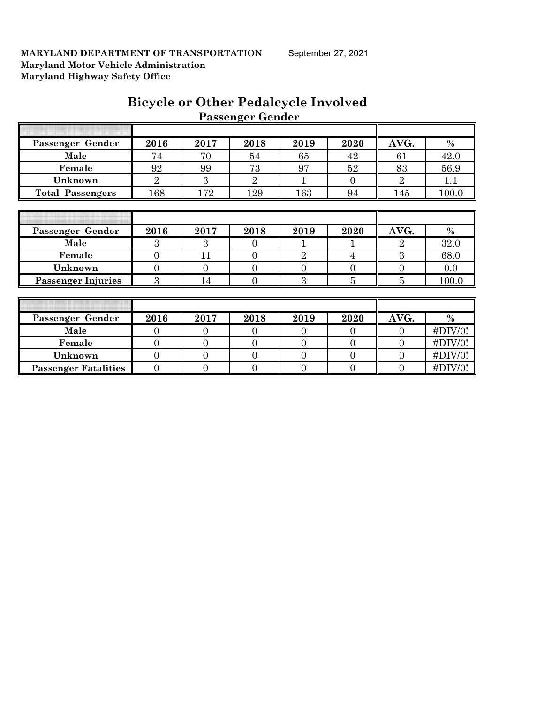# **Bicycle or Other Pedalcycle Involved Passenger Gender**

| Passenger Gender          | 2016           | 2017           | 2018           | 2019           | 2020     | AVG.           | $\%$        |
|---------------------------|----------------|----------------|----------------|----------------|----------|----------------|-------------|
| Male                      | 74             | 70             | 54             | 65             | 42       | 61             | 42.0        |
| Female                    | 92             | 99             | 73             | 97             | 52       | 83             | 56.9        |
| Unknown                   | $\overline{2}$ | 3              | $\overline{2}$ |                | $\Omega$ | $\overline{2}$ | 1.1         |
| <b>Total Passengers</b>   | 168            | 172            | 129            | 163            | 94       | 145            | 100.0       |
|                           |                |                |                |                |          |                |             |
|                           |                |                |                |                |          |                |             |
| Passenger Gender          | 2016           | 2017           | 2018           | 2019           | 2020     | AVG.           | $\%$        |
| Male                      | 3              | 3              | $\Omega$       |                |          | $\overline{2}$ | 32.0        |
| Female                    | $\overline{0}$ | 11             | $\Omega$       | $\overline{2}$ | 4        | 3              | 68.0        |
| Unknown                   | $\overline{0}$ | $\Omega$       | $\Omega$       | $\Omega$       | $\Omega$ | $\Omega$       | 0.0         |
| <b>Passenger Injuries</b> | 3              | 14             | 0              | 3              | 5        | 5              | 100.0       |
|                           |                |                |                |                |          |                |             |
|                           |                |                |                |                |          |                |             |
| Passenger Gender          | 2016           | 2017           | 2018           | 2019           | 2020     | AVG.           | $\%$        |
| Male                      | $\overline{0}$ | $\Omega$       | $\Omega$       | $\Omega$       | $\Omega$ | $\Omega$       | $\#$ DIV/0! |
| Female                    | $\overline{0}$ | $\overline{0}$ | $\overline{0}$ | $\overline{0}$ | $\theta$ | $\Omega$       | $\#$ DIV/0! |

**Unknown** 0 0 0 0 0 0 0 0 0 #DIV/0! **Passenger Fatalities** 0 0 0 0 0 0 0 0 1 0 1 10 1V/0!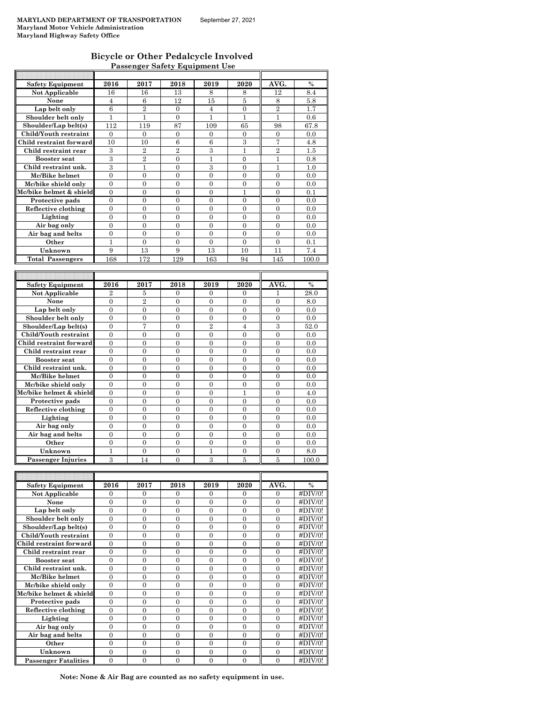### **Bicycle or Other Pedalcycle Involved Passenger Safety Equipment Use**

| <b>Safety Equipment</b>   | 2016                    | 2017             | 2018             | 2019             | 2020             | AVG.             | $\frac{0}{0}$ |
|---------------------------|-------------------------|------------------|------------------|------------------|------------------|------------------|---------------|
| <b>Not Applicable</b>     | 16                      | 16               | 13               | 8                | 8                | 12               | 8.4           |
| None                      | 4                       | 6                | 12               | 15               | 5                | 8                | 5.8           |
| Lap belt only             | 6                       | $\overline{2}$   | $\overline{0}$   | $\overline{4}$   | $\mathbf{0}$     | $\overline{2}$   | 1.7           |
| Shoulder belt only        | 1                       | 1                | $\overline{0}$   | $\mathbf{1}$     | $\mathbf{1}$     | 1                | 0.6           |
| Shoulder/Lap belt(s)      | 112                     | 119              | 87               | 109              | 65               | 98               | 67.8          |
| Child/Youth restraint     | 0                       | 0                | 0                | 0                | 0                | 0                | 0.0           |
| Child restraint forward   | 10                      | 10               | 6                | 6                | 3                | 7                | 4.8           |
| Child restraint rear      | 3                       | $\overline{2}$   | $\overline{2}$   | 3                | 1                | $\overline{2}$   | 1.5           |
| <b>Booster seat</b>       | $\,3$                   | $\overline{2}$   | 0                | 1                | 0                | 1                | 0.8           |
| Child restraint unk.      | 3                       |                  |                  | 3                |                  |                  | 1.0           |
|                           |                         | 1                | $\mathbf{0}$     |                  | 0                | 1                |               |
| Mc/Bike helmet            | 0                       | 0                | 0                | 0                | 0                | 0                | 0.0           |
| Mc/bike shield only       | 0                       | 0                | 0                | $\overline{0}$   | $\overline{0}$   | $\overline{0}$   | 0.0           |
| Mc/bike helmet & shield   | 0                       | 0                | 0                | $\overline{0}$   | 1                | $\overline{0}$   | 0.1           |
| Protective pads           | 0                       | 0                | 0                | 0                | 0                | 0                | 0.0           |
| Reflective clothing       | 0                       | 0                | 0                | 0                | 0                | 0                | 0.0           |
| Lighting                  | 0                       | 0                | 0                | 0                | 0                | 0                | 0.0           |
| Air bag only              | $\overline{0}$          | $\overline{0}$   | $\overline{0}$   | $\overline{0}$   | $\overline{0}$   | $\overline{0}$   | 0.0           |
| Air bag and belts         | 0                       | $\mathbf{0}$     | $\mathbf{0}$     | 0                | $\mathbf{0}$     | 0                | 0.0           |
| Other                     | $\mathbf{1}$            | $\overline{0}$   | 0                | $\overline{0}$   | $\overline{0}$   | $\overline{0}$   | 0.1           |
| Unknown                   | 9                       | 13               | 9                | 13               | 10               | 11               | 7.4           |
| <b>Total Passengers</b>   | $168\,$                 | 172              | 129              | 163              | 94               | 145              | $_{100.0}$    |
|                           |                         |                  |                  |                  |                  |                  |               |
|                           |                         |                  |                  |                  |                  |                  |               |
| <b>Safety Equipment</b>   | 2016                    | 2017             | 2018             | 2019             | 2020             | AVG.             | $\frac{0}{0}$ |
| Not Applicable            | 2                       | 5                | $\mathbf{0}$     | 0                | 0                | 1                | 28.0          |
| None                      | $\Omega$                | $\overline{2}$   | $\Omega$         | $\Omega$         | $\Omega$         | $\Omega$         | 8.0           |
| Lap belt only             | 0                       | 0                | 0                | 0                | 0                | 0                | 0.0           |
| Shoulder belt only        | 0                       | 0                | 0                | 0                | $\overline{0}$   | 0                | 0.0           |
| Shoulder/Lap belt(s)      |                         |                  |                  |                  |                  |                  |               |
|                           | $\overline{0}$          | 7                | $\overline{0}$   | $\overline{2}$   | $\overline{4}$   | 3                | 52.0          |
| Child/Youth restraint     | 0                       | 0                | $\mathbf{0}$     | 0                | 0                | 0                | 0.0           |
| Child restraint forward   | $\mathbf{0}$            | $\mathbf{0}$     | $\mathbf{0}$     | $\overline{0}$   | $\mathbf{0}$     | $\overline{0}$   | 0.0           |
| Child restraint rear      | 0                       | 0                | 0                | 0                | 0                | 0                | 0.0           |
| <b>Booster seat</b>       | 0                       | 0                | 0                | $\overline{0}$   | $\overline{0}$   | $\overline{0}$   | 0.0           |
| Child restraint unk.      | 0                       | 0                | 0                | $\overline{0}$   | $\overline{0}$   | $\overline{0}$   | 0.0           |
| Mc/Bike helmet            | 0                       | 0                | 0                | 0                | 0                | 0                | 0.0           |
| Mc/bike shield only       | $\overline{0}$          | $\boldsymbol{0}$ | $\boldsymbol{0}$ | $\boldsymbol{0}$ | $\boldsymbol{0}$ | 0                | 0.0           |
| Mc/bike helmet & shield   | 0                       | 0                | 0                | 0                | 1                | 0                | 4.0           |
| Protective pads           | $\overline{0}$          | $\overline{0}$   | $\overline{0}$   | $\overline{0}$   | $\overline{0}$   | $\overline{0}$   | 0.0           |
| Reflective clothing       | 0                       | 0                | 0                | 0                | 0                | 0                | 0.0           |
| Lighting                  | 0                       | $\overline{0}$   | $\overline{0}$   | $\overline{0}$   | $\overline{0}$   | $\overline{0}$   | 0.0           |
| Air bag only              | 0                       | 0                | 0                | 0                | 0                | 0                | 0.0           |
| Air bag and belts         | 0                       | 0                | 0                | $\overline{0}$   | $\overline{0}$   | $\overline{0}$   | 0.0           |
| Other                     | 0                       | 0                | 0                | $\overline{0}$   | $\overline{0}$   | $\overline{0}$   | 0.0           |
| Unknown                   | $\mathbf{1}$            | 0                | 0                | 1                | 0                | 0                | 8.0           |
|                           | $\overline{\mathbf{3}}$ | 14               | $\theta$         | 3                | 5                | 5                |               |
| <b>Passenger Injuries</b> |                         |                  |                  |                  |                  |                  | 100.0         |
|                           |                         |                  |                  |                  |                  |                  |               |
|                           |                         |                  |                  |                  |                  |                  |               |
| <b>Safety Equipment</b>   | 2016                    | 2017             | 2018             | 2019             | 2020             | AVG.             | $\%$          |
| Not Applicable            | 0                       | 0                | 0                | 0                | 0                | 0                | #DIV/0!       |
| None                      | 0                       | $\boldsymbol{0}$ | $\boldsymbol{0}$ | $\boldsymbol{0}$ | $\boldsymbol{0}$ | 0                | #DIV/0!       |
| Lap belt only             | 0                       | $\boldsymbol{0}$ | $\boldsymbol{0}$ | 0                | 0                | 0                | #DIV/0!       |
| Shoulder belt only        | $\boldsymbol{0}$        | $\boldsymbol{0}$ | $\boldsymbol{0}$ | $\boldsymbol{0}$ | $\boldsymbol{0}$ | $\overline{0}$   | #DIV/0!       |
| Shoulder/Lap belt(s)      | 0                       | 0                | $\boldsymbol{0}$ | 0                | 0                | 0                | #DIV/0!       |
| Child/Youth restraint     | $\overline{0}$          | $\overline{0}$   | $\overline{0}$   | $\overline{0}$   | $\overline{0}$   | $\overline{0}$   | #DIV/0!       |
| Child restraint forward   | $\overline{0}$          | 0                | 0                | $\overline{0}$   | $\overline{0}$   | $\overline{0}$   | #DIV/0!       |
| Child restraint rear      | 0                       | 0                | 0                | 0                | 0                | $\overline{0}$   | #DIV/0!       |
| <b>Booster</b> seat       | $\overline{0}$          | $\boldsymbol{0}$ | $\boldsymbol{0}$ | $\boldsymbol{0}$ | $\boldsymbol{0}$ | $\boldsymbol{0}$ | #DIV/0!       |
| Child restraint unk.      | 0                       | 0                | $\boldsymbol{0}$ | 0                | 0                | 0                | #DIV/0!       |
| Mc/Bike helmet            | $\boldsymbol{0}$        | $\boldsymbol{0}$ | $\boldsymbol{0}$ | $\boldsymbol{0}$ | $\boldsymbol{0}$ | $\boldsymbol{0}$ | #DIV/0!       |
| Mc/bike shield only       | $\boldsymbol{0}$        | 0                | 0                | 0                | 0                | 0                | #DIV/0!       |
| Mc/bike helmet & shield   | $\boldsymbol{0}$        | $\boldsymbol{0}$ | $\boldsymbol{0}$ | $\mathbf{0}$     | $\overline{0}$   | $\overline{0}$   | #DIV/0!       |
| Protective pads           | 0                       | 0                | $\boldsymbol{0}$ | 0                | 0                | 0                | #DIV/0!       |
|                           | $\overline{0}$          | $\overline{0}$   | $\overline{0}$   | $\overline{0}$   | $\overline{0}$   | $\overline{0}$   |               |
| Reflective clothing       |                         |                  |                  |                  |                  |                  | #DIV/0!       |
| Lighting                  | $\boldsymbol{0}$        | 0                | 0                | 0                | 0                | 0                | #DIV/0!       |
| Air bag only              | 0                       | 0                | $\overline{0}$   | $\overline{0}$   | $\overline{0}$   | $\overline{0}$   | #DIV/0!       |
| Air bag and belts         | 0                       | $\boldsymbol{0}$ | $\boldsymbol{0}$ | 0                | $\boldsymbol{0}$ | 0                | #DIV/0!       |
| Other                     | 0                       | $\boldsymbol{0}$ | $\boldsymbol{0}$ | $\boldsymbol{0}$ | $\boldsymbol{0}$ | 0                | #DIV/0!       |

**Passenger Fatalities** 0 0 0 0 0 0 0 0 1 +DIV/0! **Note: None & Air Bag are counted as no safety equipment in use.**

**Unknown** 0 0 0 0 0 0 0 0 #DIV/0!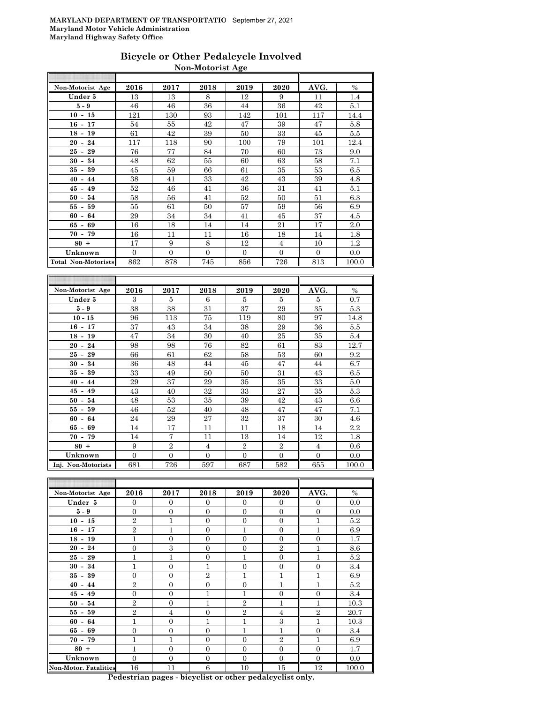### **Bicycle or Other Pedalcycle Involved Non-Motorist Age**

| Non-Motorist Age                     | 2016                | 2017                | 2018                | 2019                  | 2020                | AVG.           | $\%$          |
|--------------------------------------|---------------------|---------------------|---------------------|-----------------------|---------------------|----------------|---------------|
| Under 5                              | 13                  | 13                  | 8                   | 12                    | 9                   | 11             | 1.4           |
| $5 - 9$                              | 46                  | 46                  | 36                  | 44                    | 36                  | 42             | 5.1           |
| $10 - 15$                            | 121                 | 130                 | 93                  | 142                   | 101                 | 117            | 14.4          |
| $16 - 17$                            | 54                  | 55                  | 42                  | 47                    | 39                  | 47             | 5.8           |
| $18 - 19$                            | 61                  | 42                  | 39                  | 50                    | 33                  | 45             | 5.5           |
| 24<br>$20 -$                         | 117                 | 118                 | 90                  | 100                   | 79                  | 101            | 12.4          |
| 25<br>$-29$                          | 76                  | 77                  | 84                  | 70                    | 60                  | 73             | 9.0           |
| 30<br>$-34$                          | 48                  | 62                  | 55                  | 60                    | 63                  | 58             | 7.1           |
| 35<br>39<br>$\blacksquare$           | 45                  | 59                  | 66                  | 61                    | 35                  | 53             | 6.5           |
| $40 -$<br>44                         | 38                  | 41                  | 33                  | 42                    | 43                  | 39             | 4.8           |
| $45 - 49$                            | 52                  | 46                  | 41                  | 36                    | 31                  | 41             | 5.1           |
| 50<br>54<br>$\blacksquare$           | 58                  | 56                  | 41                  | 52                    | 50                  | 51             | 6.3           |
| 55 -<br>59                           | 55                  | 61                  | 50                  | 57                    | 59                  | 56             | 6.9           |
| 64<br>60<br>$\blacksquare$           | 29                  | 34                  | 34                  | 41                    | 45                  | 37             | 4.5           |
| 65<br>69<br>$\blacksquare$           | 16                  | 18                  | 14                  | 14                    | 21                  | 17             | 2.0           |
| $70 - 79$                            | 16                  | 11                  | 11                  | 16                    | 18                  | 14             | 1.8           |
| $80 +$                               | 17                  | 9                   | 8                   | 12                    | $\overline{4}$      | 10             | 1.2           |
| Unknown                              | $\mathbf{0}$        | $\boldsymbol{0}$    | $\overline{0}$      | 0                     | $\overline{0}$      | $\overline{0}$ | 0.0           |
| <b>Total Non-Motorists</b>           | 862                 | 878                 | 745                 | 856                   | 726                 | 813            | 100.0         |
|                                      |                     |                     |                     |                       |                     |                |               |
|                                      |                     |                     |                     |                       |                     |                |               |
|                                      |                     |                     |                     |                       |                     |                |               |
| Non-Motorist Age                     | 2016                | 2017                | 2018                | 2019                  | 2020                | AVG.           | $\frac{0}{0}$ |
| Under 5                              | 3                   | 5                   | 6                   | 5                     | 5                   | 5              | 0.7           |
| $5-9$                                | 38                  | 38                  | 31                  | 37                    | 29                  | 35             | 5.3           |
| $10 - 15$                            | 96                  | 113                 | 75                  | 119                   | 80                  | 97             | 14.8          |
| $16 - 17$                            | 37                  | 43                  | 34                  | 38                    | 29                  | 36             | $5.5\,$       |
| $18 - 19$                            | 47                  | 34                  | 30                  | 40                    | 25                  | 35             | 5.4           |
| 24<br>$20 -$                         | 98                  | 98                  | 76                  | 82                    | 61                  | 83             | 12.7          |
| 25<br>29<br>$\omega$                 | 66                  | 61                  | 62                  | 58                    | 53                  | 60             | 9.2           |
| $30 - 34$                            | 36                  | 48                  | 44                  | 45                    | 47                  | 44             | 6.7           |
| 35<br>39<br>$\overline{\phantom{a}}$ | 33                  | 49                  | 50                  | 50                    | 31                  | 43             | 6.5           |
| $40 - 44$                            | 29                  | 37                  | 29                  | 35                    | 35                  | 33             | 5.0           |
| $45-$<br>49                          | 43                  | 40                  | 32                  | 33                    | 27                  | 35             | 5.3           |
| $50 - 54$                            | 48                  | 53                  | 35                  | 39                    | 42                  | 43             | 6.6           |
| $55-$<br>59                          | 46                  | 52                  | 40                  | 48                    | 47                  | 47             | 7.1           |
| 60<br>64<br>$\blacksquare$           | 24                  | 29                  | 27                  | 32                    | 37                  | 30             | 4.6           |
| $65 - 69$                            | 14                  | 17                  | 11                  | 11                    | 18                  | 14             | 2.2           |
| 79<br>70<br>$\blacksquare$           | 14                  | $\overline{7}$      | 11                  | 13                    | 14                  | 12             | 1.8           |
| $80 +$                               | 9                   | $\overline{2}$      | $\overline{4}$      | $\overline{2}$        | $\overline{2}$      | 4              | 0.6           |
| Unknown<br>Inj. Non-Motorists        | $\mathbf{0}$<br>681 | $\mathbf{0}$<br>726 | $\mathbf{0}$<br>597 | $\overline{0}$<br>687 | $\mathbf{0}$<br>582 | 0<br>655       | 0.0<br>100.0  |

| Non-Motorist Age             | 2016           | 2017           | 2018           | 2019           | 2020           | AVG.           | $\%$  |
|------------------------------|----------------|----------------|----------------|----------------|----------------|----------------|-------|
| Under 5                      | $\Omega$       | $\Omega$       | $\Omega$       | $\Omega$       | $\Omega$       | $\Omega$       | 0.0   |
| $5-9$                        | $\mathbf{0}$   | $\mathbf{0}$   | $\mathbf{0}$   | $\overline{0}$ | $\mathbf{0}$   | $\overline{0}$ | 0.0   |
| $10 - 15$                    | $\overline{2}$ | $\mathbf{1}$   | $\Omega$       | $\Omega$       | $\overline{0}$ | 1              | 5.2   |
| $16 - 17$                    | $\overline{2}$ | $\mathbf{1}$   | $\Omega$       | $\mathbf{1}$   | $\mathbf{0}$   | $\mathbf{1}$   | 6.9   |
| $18 - 19$                    | $\mathbf{1}$   | $\overline{0}$ | $\overline{0}$ | $\overline{0}$ | $\mathbf{0}$   | $\overline{0}$ | 1.7   |
| $20 - 24$                    | $\overline{0}$ | 3              | $\overline{0}$ | $\overline{0}$ | $\overline{2}$ | 1              | 8.6   |
| $25 - 29$                    | $\mathbf{1}$   | $\mathbf{1}$   | $\overline{0}$ | $\mathbf{1}$   | $\mathbf{0}$   | $\mathbf{1}$   | 5.2   |
| $30 - 34$                    | 1              | $\overline{0}$ | $\mathbf{1}$   | $\Omega$       | $\overline{0}$ | $\overline{0}$ | 3.4   |
| $35 - 39$                    | $\theta$       | $\overline{0}$ | $\mathbf{2}$   | 1              | $\mathbf{1}$   | 1              | 6.9   |
| $40 - 44$                    | $\overline{2}$ | $\overline{0}$ | $\Omega$       | $\Omega$       | $\mathbf{1}$   | 1              | 5.2   |
| $45 - 49$                    | $\overline{0}$ | $\mathbf{0}$   | 1              | $\mathbf{1}$   | $\mathbf{0}$   | $\mathbf{0}$   | 3.4   |
| $50 - 54$                    | $\overline{2}$ | $\overline{0}$ | 1              | $\overline{2}$ | 1              | $\mathbf{1}$   | 10.3  |
| $55 - 59$                    | $\overline{2}$ | $\overline{4}$ | $\Omega$       | $\mathbf{2}$   | $\overline{4}$ | $\overline{2}$ | 20.7  |
| $60 - 64$                    | 1              | $\overline{0}$ | $\mathbf{1}$   | $\mathbf{1}$   | 3              | $\mathbf{1}$   | 10.3  |
| $65 - 69$                    | $\overline{0}$ | $\overline{0}$ | $\Omega$       | $\mathbf{1}$   | 1              | $\mathbf{0}$   | 3.4   |
| $70 - 79$                    | $\mathbf{1}$   | $\mathbf{1}$   | $\Omega$       | $\Omega$       | $\overline{2}$ | 1              | 6.9   |
| $80 +$                       | 1              | $\overline{0}$ | $\overline{0}$ | $\overline{0}$ | $\mathbf{0}$   | $\overline{0}$ | 1.7   |
| Unknown                      | $\Omega$       | $\mathbf{0}$   | $\Omega$       | $\Omega$       | $\mathbf{0}$   | $\Omega$       | 0.0   |
| <b>Non-Motor, Fatalities</b> | 16             | 11             | 6              | 10             | 15             | 12             | 100.0 |

F

**Pedestrian pages - bicyclist or other pedalcyclist only.**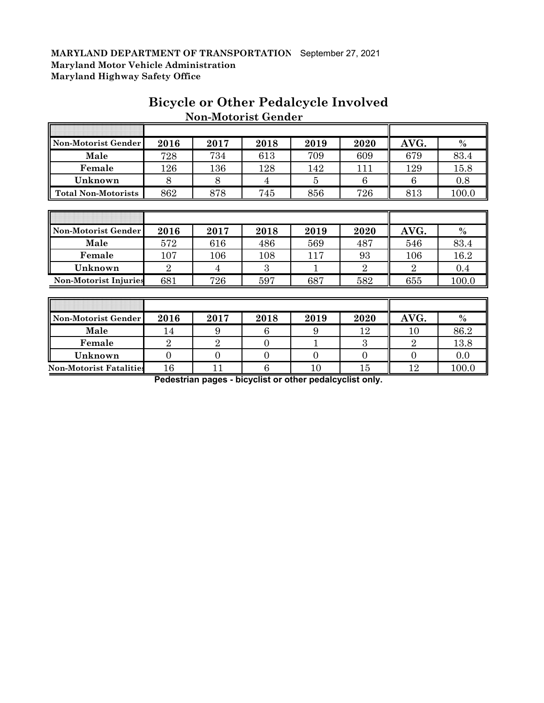| Non-Motorist Gender          | 2016           | 2017           | 2018           | 2019 | 2020           | AVG.           | $\%$          |
|------------------------------|----------------|----------------|----------------|------|----------------|----------------|---------------|
| Male                         | 728            | 734            | 613            | 709  | 609            | 679            | 83.4          |
| Female                       | 126            | 136            | 128            | 142  | 111            | 129            | 15.8          |
| Unknown                      | 8              | 8              | 4              | 5    | 6              | 6              | 0.8           |
| <b>Total Non-Motorists</b>   | 862            | 878            | 745            | 856  | 726            | 813            | 100.0         |
|                              |                |                |                |      |                |                |               |
|                              |                |                |                |      |                |                |               |
| Non-Motorist Gender          | 2016           | 2017           | 2018           | 2019 | 2020           | AVG.           | $\frac{0}{0}$ |
| Male                         | 572            | 616            | 486            | 569  | 487            | 546            | 83.4          |
| Female                       | 107            | 106            | 108            | 117  | 93             | 106            | 16.2          |
| Unknown                      | $\overline{2}$ | $\overline{4}$ | 3              | 1    | $\overline{2}$ | $\overline{2}$ | 0.4           |
| <b>Non-Motorist Injuries</b> | 681            | 726            | 597            | 687  | 582            | 655            | 100.0         |
|                              |                |                |                |      |                |                |               |
|                              |                |                |                |      |                |                |               |
| Non-Motorist Gender          | 2016           | 2017           | 2018           | 2019 | 2020           | AVG.           | $\%$          |
| Male                         | 14             | 9              | 6              | 9    | 12             | 10             | 86.2          |
| Female                       | $\overline{2}$ | $\overline{2}$ | $\overline{0}$ | п    | 3              | $\overline{2}$ | 13.8          |

# **Bicycle or Other Pedalcycle Involved Non-Motorist Gender**

**Non-Motorist Fatalities** 16 11 6 10 15 12 100.0 **Pedestrian pages - bicyclist or other pedalcyclist only.**

**Unknown** 0 0 0 0 0 0 0.0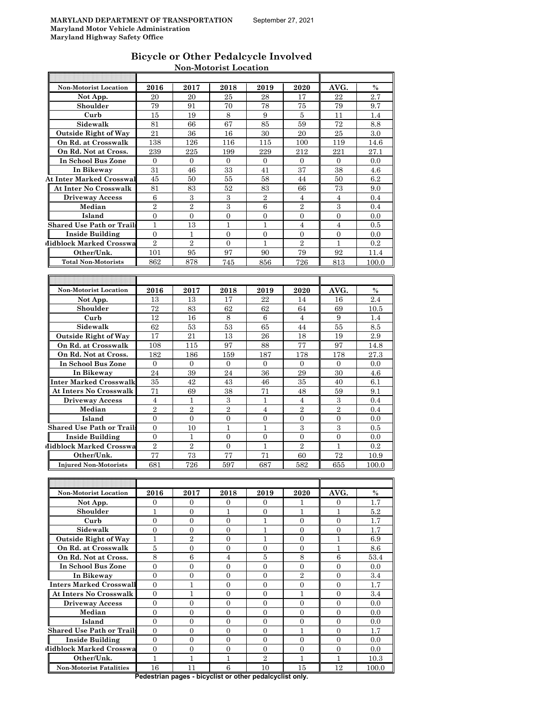| Bicycle or Other Pedalcycle Involved |  |
|--------------------------------------|--|
| <b>Non-Motorist Location</b>         |  |

| <b>Non-Motorist Location</b>                 | 2016             | 2017             | 2018              | 2019           | 2020             | AVG.              | $\%$          |
|----------------------------------------------|------------------|------------------|-------------------|----------------|------------------|-------------------|---------------|
| Not App.                                     | 20               | 20               | 25                | 28             | 17               | 22                | 2.7           |
| Shoulder                                     | 79               | 91               | 70                | 78             | 75               | 79                | 9.7           |
| Curb                                         | 15               | 19               | 8                 | 9              | 5                | 11                | 1.4           |
| Sidewalk                                     | 81               | 66               | 67                | 85             | 59               | 72                | 8.8           |
| <b>Outside Right of Way</b>                  | 21               | 36               | 16                | 30             | 20               | 25                | 3.0           |
|                                              |                  |                  |                   |                |                  |                   |               |
| On Rd. at Crosswalk                          | 138              | 126              | 116               | 115            | 100              | 119               | 14.6          |
| On Rd. Not at Cross.                         | 239              | 225              | 199               | 229            | 212              | 221               | 27.1          |
| <b>In School Bus Zone</b>                    | $\overline{0}$   | $\mathbf{0}$     | $\mathbf{0}$      | $\mathbf{0}$   | $\overline{0}$   | $\overline{0}$    | 0.0           |
| In Bikeway                                   | 31               | 46               | 33                | 41             | 37               | 38                | $4.6\,$       |
| <b>At Inter Marked Crosswal</b>              | 45               | 50               | 55                | 58             | 44               | 50                | 6.2           |
| At Inter No Crosswalk                        | 81               | 83               | 52                | 83             | 66               | 73                | 9.0           |
| <b>Driveway Access</b>                       | 6                | 3                | 3                 | $\overline{2}$ | $\overline{4}$   | $\overline{4}$    | 0.4           |
| Median                                       | $\overline{2}$   | $\overline{2}$   | $\,3$             | 6              | $\overline{2}$   | $\boldsymbol{3}$  | 0.4           |
| Island                                       | $\mathbf{0}$     | 0                | $\theta$          | 0              | $\mathbf{0}$     | 0                 | 0.0           |
| <b>Shared Use Path or Trail</b>              |                  |                  |                   |                |                  |                   |               |
|                                              | 1                | 13               | 1                 | $\mathbf{1}$   | 4                | $\overline{4}$    | 0.5           |
| <b>Inside Building</b>                       | $\overline{0}$   | $\mathbf{1}$     | $\overline{0}$    | $\overline{0}$ | $\overline{0}$   | $\overline{0}$    | 0.0           |
| Midblock Marked Crosswa                      | $\overline{2}$   | $\overline{2}$   | $\mathbf{0}$      | $\mathbf{1}$   | $\overline{2}$   | 1                 | 0.2           |
| Other/Unk.                                   | 101              | 95               | 97                | 90             | 79               | 92                | 11.4          |
| <b>Total Non-Motorists</b>                   | 862              | 878              | 745               | 856            | 726              | 813               | 100.0         |
|                                              |                  |                  |                   |                |                  |                   |               |
|                                              |                  |                  |                   |                |                  |                   |               |
| <b>Non-Motorist Location</b>                 | 2016             | 2017             | 2018              | 2019           | 2020             | AVG.              | $\frac{0}{0}$ |
|                                              |                  |                  |                   |                |                  |                   |               |
| Not App.                                     | 13               | 13               | 17                | 22             | 14               | 16                | 2.4           |
| Shoulder                                     | 72               | 83               | 62                | 62             | 64               | 69                | 10.5          |
| Curb                                         | 12               | 16               | 8                 | 6              | $\overline{4}$   | 9                 | 1.4           |
| Sidewalk                                     | 62               | 53               | 53                | 65             | 44               | 55                | 8.5           |
| <b>Outside Right of Way</b>                  | 17               | 21               | 13                | 26             | 18               | 19                | 2.9           |
| On Rd. at Crosswalk                          | 108              | 115              | 97                | 88             | 77               | 97                | 14.8          |
| On Rd. Not at Cross.                         | 182              | 186              | 159               | 187            | 178              | 178               | 27.3          |
| In School Bus Zone                           | $\overline{0}$   | $\overline{0}$   | $\overline{0}$    | $\overline{0}$ | $\mathbf{0}$     | $\mathbf{0}$      | 0.0           |
| In Bikeway                                   | 24               | 39               | 24                | 36             | 29               | 30                | $4.6\,$       |
| Inter Marked Crosswalk                       | 35               | 42               | 43                | 46             | 35               | 40                | 6.1           |
|                                              |                  |                  |                   |                |                  |                   |               |
| <b>At Inters No Crosswalk</b>                | 71               | 69               | 38                | 71             | 48               | 59                | 9.1           |
| <b>Driveway Access</b>                       | $\overline{4}$   | 1                | 3                 | 1              | $\overline{4}$   | 3                 | 0.4           |
| Median                                       | $\overline{2}$   | $\overline{2}$   | $\overline{2}$    | $\overline{4}$ | $\overline{2}$   | $\overline{2}$    | 0.4           |
| Island                                       | $\overline{0}$   | $\overline{0}$   | $\overline{0}$    | 0              | 0                | 0                 | 0.0           |
| <b>Shared Use Path or Trail:</b>             | $\overline{0}$   | 10               | 1                 | $\mathbf{1}$   | 3                | 3                 | $0.5\,$       |
| Inside Building                              | $\Omega$         | 1                | $\overline{0}$    | $\overline{0}$ | $\overline{0}$   | $\overline{0}$    | 0.0           |
| <b>Midblock Marked Crosswa</b>               | $\overline{2}$   | $\overline{2}$   | $\overline{0}$    | $\mathbf{1}$   | $\overline{2}$   | $\mathbf{1}$      | 0.2           |
| Other/Unk.                                   | 77               | 73               | 77                | 71             | 60               | 72                | 10.9          |
| <b>Injured Non-Motorists</b>                 |                  | 726              |                   |                |                  |                   |               |
|                                              | 681              |                  | 597               | 687            | 582              | 655               | 100.0         |
|                                              |                  |                  |                   |                |                  |                   |               |
|                                              |                  |                  |                   |                |                  |                   |               |
| <b>Non-Motorist Location</b>                 | 2016             | 2017             | 2018              | 2019           | 2020             | AVG.              | $\%$          |
| Not App.                                     | 0                | 0                | 0                 | $\overline{0}$ | 1                | 0                 | 1.7           |
| Shoulder                                     | $\mathbf{1}$     | $\overline{0}$   | $\mathbf{1}$      | $\overline{0}$ | $\mathbf{1}$     | $\mathbf{1}$      | 5.2           |
| Curb                                         | $\boldsymbol{0}$ | $\overline{0}$   | $\boldsymbol{0}$  | $\mathbf{1}$   | $\boldsymbol{0}$ | $\boldsymbol{0}$  | 1.7           |
| Sidewalk                                     | $\overline{0}$   | 0                | $\overline{0}$    | 1              | $\mathbf{0}$     | 0                 | 1.7           |
| <b>Outside Right of Way</b>                  | $\mathbf{1}$     | $\overline{2}$   | $\mathbf{0}$      | $\mathbf{1}$   | $\mathbf{0}$     | $\mathbf{1}$      | 6.9           |
| On Rd. at Crosswalk                          | $\bf 5$          | $\boldsymbol{0}$ | $\mathbf{0}$      | $\mathbf{0}$   | $\mathbf{0}$     | $\mathbf{1}$      | 8.6           |
|                                              | 8                |                  |                   |                |                  |                   | 53.4          |
| On Rd. Not at Cross.                         |                  | 6                | 4                 | 5              | $\,8\,$          | 6                 |               |
| In School Bus Zone                           |                  | 0                | 0                 | $\overline{0}$ | 0                | 0                 | 0.0           |
| In Bikeway                                   | 0                |                  |                   |                |                  |                   | 3.4           |
|                                              | $\overline{0}$   | $\overline{0}$   | $\overline{0}$    | $\overline{0}$ | $\overline{2}$   | $\overline{0}$    |               |
| Inters Marked Crosswall                      | $\overline{0}$   | $\mathbf{1}$     | $\mathbf{0}$      | $\overline{0}$ | $\boldsymbol{0}$ | $\overline{0}$    | 1.7           |
| At Inters No Crosswalk                       | $\overline{0}$   | 1                | 0                 | 0              | 1                | 0                 | 3.4           |
| <b>Driveway Access</b>                       | $\boldsymbol{0}$ | $\overline{0}$   | $\mathbf{0}$      | $\overline{0}$ | $\overline{0}$   | $\overline{0}$    | 0.0           |
| Median                                       | $\overline{0}$   | $\overline{0}$   | $\overline{0}$    | $\overline{0}$ | $\overline{0}$   | $\boldsymbol{0}$  | 0.0           |
|                                              |                  |                  |                   |                |                  |                   |               |
| Island                                       | $\overline{0}$   | $\overline{0}$   | $\overline{0}$    | 0              | $\boldsymbol{0}$ | $\boldsymbol{0}$  | 0.0           |
| <b>Shared Use Path or Trails</b>             | 0                | 0                | 0                 | 0              | 1                | 0                 | 1.7           |
| <b>Inside Building</b>                       | $\overline{0}$   | $\overline{0}$   | $\mathbf{0}$      | $\overline{0}$ | $\overline{0}$   | $\overline{0}$    | 0.0           |
| Midblock Marked Crosswa                      | $\overline{0}$   | $\overline{0}$   | $\mathbf{0}$      | $\overline{0}$ | $\boldsymbol{0}$ | $\overline{0}$    | 0.0           |
| Other/Unk.<br><b>Non-Motorist Fatalities</b> | $\mathbf{1}$     | $\mathbf{1}$     | $\mathbf{1}$<br>6 | $\,2$<br>10    | 1                | $\mathbf 1$<br>12 | 10.3          |

**Pedestrian pages - bicyclist or other pedalcyclist only.**